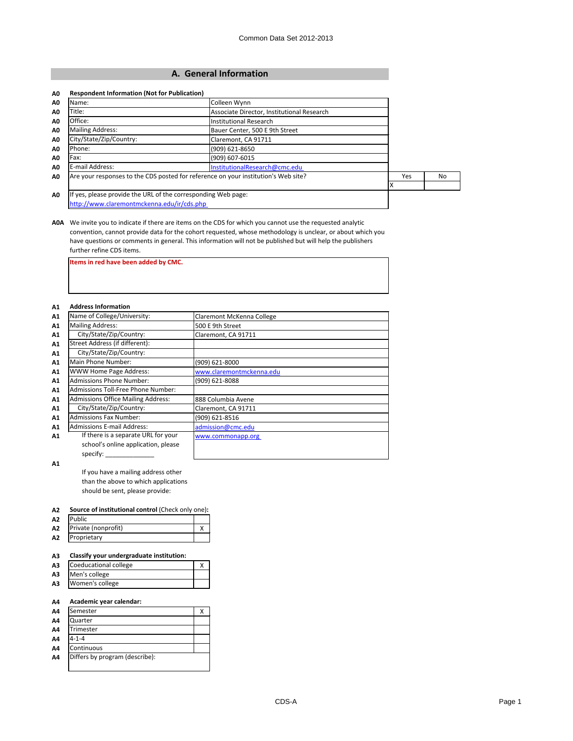# **A. General Information**

| Title:                  | Associate Director, Institutional Research                                         |     |    |
|-------------------------|------------------------------------------------------------------------------------|-----|----|
| Office:                 | Institutional Research                                                             |     |    |
| <b>Mailing Address:</b> | Bauer Center, 500 E 9th Street                                                     |     |    |
| City/State/Zip/Country: | Claremont, CA 91711                                                                |     |    |
| Phone:                  | (909) 621-8650                                                                     |     |    |
| Fax:                    | (909) 607-6015                                                                     |     |    |
| E-mail Address:         | InstitutionalResearch@cmc.edu                                                      |     |    |
|                         | Are your responses to the CDS posted for reference on your institution's Web site? | Yes | No |
|                         |                                                                                    |     |    |

**A0A** We invite you to indicate if there are items on the CDS for which you cannot use the requested analytic convention, cannot provide data for the cohort requested, whose methodology is unclear, or about which you have questions or comments in general. This information will not be published but will help the publishers further refine CDS items.

**Items in red have been added by CMC.**

#### **A1 Address Information**

| A1 | Name of College/University:               | Claremont McKenna College |
|----|-------------------------------------------|---------------------------|
| A1 | <b>Mailing Address:</b>                   | 500 E 9th Street          |
| A1 | City/State/Zip/Country:                   | Claremont, CA 91711       |
| A1 | Street Address (if different):            |                           |
| A1 | City/State/Zip/Country:                   |                           |
| A1 | Main Phone Number:                        | (909) 621-8000            |
| A1 | <b>WWW Home Page Address:</b>             | www.claremontmckenna.edu  |
| A1 | <b>Admissions Phone Number:</b>           | (909) 621-8088            |
| A1 | Admissions Toll-Free Phone Number:        |                           |
| A1 | <b>Admissions Office Mailing Address:</b> | 888 Columbia Avene        |
| A1 | City/State/Zip/Country:                   | Claremont, CA 91711       |
| A1 | <b>Admissions Fax Number:</b>             | (909) 621-8516            |
| A1 | <b>Admissions E-mail Address:</b>         | admission@cmc.edu         |
| A1 | If there is a separate URL for your       | www.commonapp.org         |
|    | school's online application, please       |                           |
|    | specify:                                  |                           |

<u>i l</u>

**A1**

If you have a mailing address other than the above to which applications should be sent, please provide:

#### **A2 Source of institutional control** (Check only one)**:**

| A <sub>2</sub> | <b>Public</b>       |  |
|----------------|---------------------|--|
| A2             | Private (nonprofit) |  |
| A <sub>2</sub> | Proprietary         |  |

#### **A3 Classify your undergraduate institution:**

| ΑЗ | Coeducational college |  |
|----|-----------------------|--|
| ΑЗ | Men's college         |  |
| ΑЗ | Women's college       |  |

#### **A4 Academic year calendar:**

| Α4 | Semester                       |  |
|----|--------------------------------|--|
| A4 | Quarter                        |  |
| A4 | Trimester                      |  |
| A4 | $4 - 1 - 4$                    |  |
| A4 | Continuous                     |  |
| A4 | Differs by program (describe): |  |
|    |                                |  |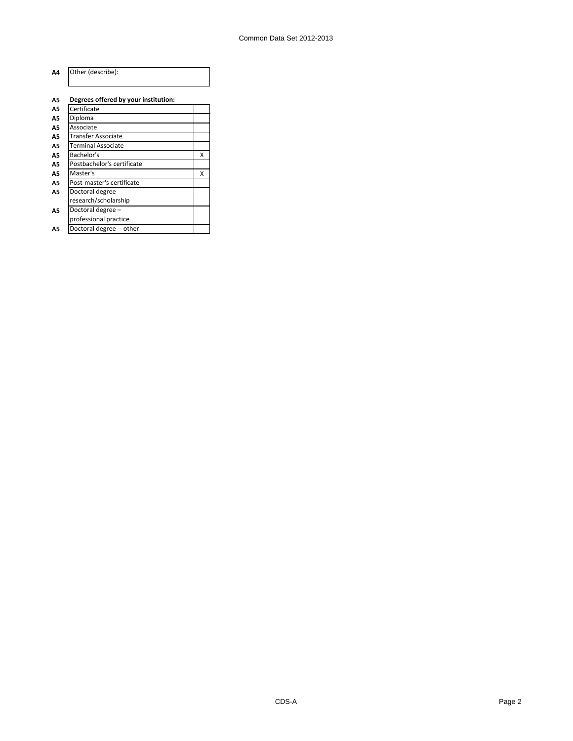| Other (describe):                    |   |
|--------------------------------------|---|
|                                      |   |
|                                      |   |
| Degrees offered by your institution: |   |
| Certificate                          |   |
| Diploma                              |   |
| Associate                            |   |
| Transfer Associate                   |   |
| Terminal Associate                   |   |
| Bachelor's                           | х |
| Postbachelor's certificate           |   |
| Master's                             | x |
| Post-master's certificate            |   |
| Doctoral degree                      |   |
| research/scholarship                 |   |
| Doctoral degree -                    |   |
| professional practice                |   |
| Doctoral degree -- other             |   |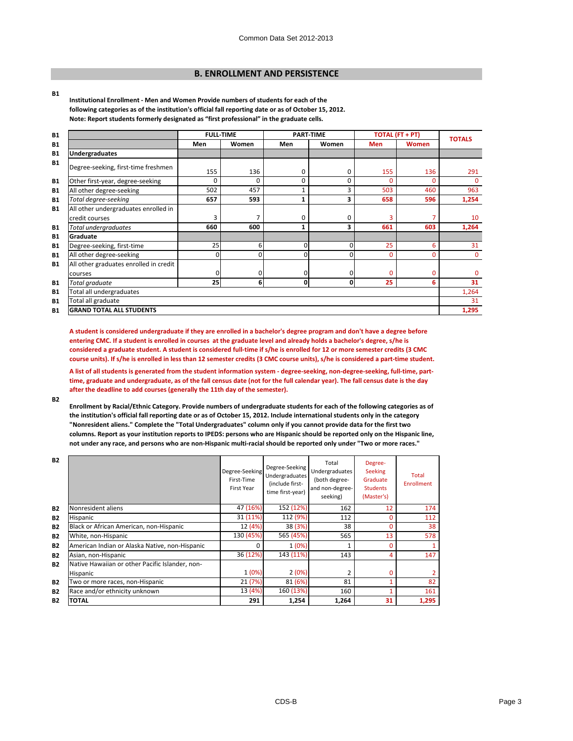# **B. ENROLLMENT AND PERSISTENCE**

**B1**

**Institutional Enrollment - Men and Women Provide numbers of students for each of the following categories as of the institution's official fall reporting date or as of October 15, 2012. Note: Report students formerly designated as "first professional" in the graduate cells.**

| <b>B1</b> |                                        | <b>FULL-TIME</b> |                  | <b>PART-TIME</b> |          | TOTAL (FT + PT) |              | <b>TOTALS</b> |
|-----------|----------------------------------------|------------------|------------------|------------------|----------|-----------------|--------------|---------------|
| <b>B1</b> |                                        | Men              | Women            | Men              | Women    | <b>Men</b>      | <b>Women</b> |               |
| <b>B1</b> | <b>Undergraduates</b>                  |                  |                  |                  |          |                 |              |               |
| <b>B1</b> | Degree-seeking, first-time freshmen    | 155              | 136              | 0                | 0        | 155             | 136          | 291           |
| <b>B1</b> | Other first-year, degree-seeking       | 0                | $\Omega$         | 0                | 0        | O               | 0            | $\mathbf{0}$  |
| <b>B1</b> | All other degree-seeking               | 502              | 457              |                  | 3        | 503             | 460          | 963           |
| <b>B1</b> | Total degree-seeking                   | 657              | 593              | 1                | 3        | 658             | 596          | 1,254         |
| <b>B1</b> | All other undergraduates enrolled in   |                  |                  |                  |          |                 |              |               |
|           | credit courses                         | 3                |                  | 0                | 0        | ٩               |              | 10            |
| <b>B1</b> | Total undergraduates                   | 660              | 600              | 1                | 3        | 661             | 603          | 1,264         |
| <b>B1</b> | Graduate                               |                  |                  |                  |          |                 |              |               |
| <b>B1</b> | Degree-seeking, first-time             | 25               | 6                | 0                | $\Omega$ | 25              | 6            | 31            |
| <b>B1</b> | All other degree-seeking               | $\Omega$         | 0                | 0                | 0        | 0               | $\mathbf{0}$ | $\mathbf 0$   |
| <b>B1</b> | All other graduates enrolled in credit |                  |                  |                  |          |                 |              |               |
|           | courses                                | $\Omega$         | 0                | 0                | $\Omega$ | $\Omega$        | 0            | $\Omega$      |
| <b>B1</b> | Total graduate                         | 25               | $6 \overline{6}$ | $\mathbf{0}$     | 0        | 25              | 6            | 31            |
| <b>B1</b> | Total all undergraduates               |                  |                  |                  |          |                 |              | 1,264         |
| <b>B1</b> | Total all graduate                     |                  |                  |                  |          |                 | 31           |               |
| <b>B1</b> | <b>GRAND TOTAL ALL STUDENTS</b>        |                  |                  |                  |          |                 |              | 1,295         |

**A student is considered undergraduate if they are enrolled in a bachelor's degree program and don't have a degree before entering CMC. If a student is enrolled in courses at the graduate level and already holds a bachelor's degree, s/he is considered a graduate student. A student is considered full-time if s/he is enrolled for 12 or more semester credits (3 CMC course units). If s/he is enrolled in less than 12 semester credits (3 CMC course units), s/he is considered a part-time student.**

**A list of all students is generated from the student information system - degree-seeking, non-degree-seeking, full-time, parttime, graduate and undergraduate, as of the fall census date (not for the full calendar year). The fall census date is the day after the deadline to add courses (generally the 11th day of the semester).** 

**B2**

**Enrollment by Racial/Ethnic Category. Provide numbers of undergraduate students for each of the following categories as of the institution's official fall reporting date or as of October 15, 2012. Include international students only in the category "Nonresident aliens." Complete the "Total Undergraduates" column only if you cannot provide data for the first two columns. Report as your institution reports to IPEDS: persons who are Hispanic should be reported only on the Hispanic line, not under any race, and persons who are non-Hispanic multi-racial should be reported only under "Two or more races."** 

| <b>B2</b> |                                                 | Degree-Seeking<br>First-Time<br><b>First Year</b> | Degree-Seeking<br>Undergraduates<br>(include first-<br>time first-year) | Total<br>Undergraduates<br>(both degree-<br>and non-degree-<br>seeking) | Degree-<br><b>Seeking</b><br>Graduate<br><b>Students</b><br>(Master's) | Total<br><b>Enrollment</b> |
|-----------|-------------------------------------------------|---------------------------------------------------|-------------------------------------------------------------------------|-------------------------------------------------------------------------|------------------------------------------------------------------------|----------------------------|
| <b>B2</b> | Nonresident aliens                              | 47 (16%)                                          | 152 (12%)                                                               | 162                                                                     | 12                                                                     | 174                        |
| <b>B2</b> | <b>Hispanic</b>                                 | 31(11%)                                           | 112 (9%)                                                                | 112                                                                     | 0                                                                      | 112                        |
| <b>B2</b> | Black or African American, non-Hispanic         | 12 (4%)                                           | 38 (3%)                                                                 | 38                                                                      | 0                                                                      | 38                         |
| <b>B2</b> | White, non-Hispanic                             | 130 (45%)                                         | 565 (45%)                                                               | 565                                                                     | 13                                                                     | 578                        |
| <b>B2</b> | American Indian or Alaska Native, non-Hispanic  | 0                                                 | 1(0%)                                                                   |                                                                         | 0                                                                      |                            |
| <b>B2</b> | Asian, non-Hispanic                             | 36 (12%)                                          | 143 (11%)                                                               | 143                                                                     | 4                                                                      | 147                        |
| <b>B2</b> | Native Hawaiian or other Pacific Islander, non- |                                                   |                                                                         |                                                                         |                                                                        |                            |
|           | <b>Hispanic</b>                                 | 1(0%)                                             | 2(0%)                                                                   |                                                                         | 0                                                                      | $\mathbf{2}$               |
| <b>B2</b> | Two or more races, non-Hispanic                 | 21 (7%)                                           | 81 (6%)                                                                 | 81                                                                      |                                                                        | 82                         |
| <b>B2</b> | Race and/or ethnicity unknown                   | 13 (4%)                                           | 160 (13%)                                                               | 160                                                                     |                                                                        | 161                        |
| <b>B2</b> | <b>TOTAL</b>                                    | 291                                               | 1,254                                                                   | 1,264                                                                   | 31                                                                     | 1,295                      |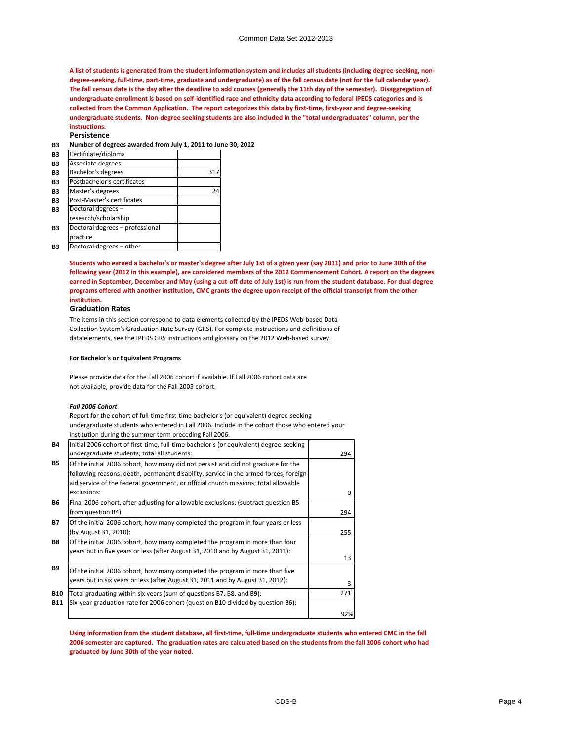#### Common Data Set 2012-2013

**A list of students is generated from the student information system and includes all students (including degree-seeking, nondegree-seeking, full-time, part-time, graduate and undergraduate) as of the fall census date (not for the full calendar year). The fall census date is the day after the deadline to add courses (generally the 11th day of the semester). Disaggregation of undergraduate enrollment is based on self-identified race and ethnicity data according to federal IPEDS categories and is collected from the Common Application. The report categorizes this data by first-time, first-year and degree-seeking undergraduate students. Non-degree seeking students are also included in the "total undergraduates" column, per the instructions.**

#### **Persistence**

**B3 Number of degrees awarded from July 1, 2011 to June 30, 2012**

| B3 | Certificate/diploma             |     |  |
|----|---------------------------------|-----|--|
| B3 | Associate degrees               |     |  |
| B3 | Bachelor's degrees              | 317 |  |
| B3 | Postbachelor's certificates     |     |  |
| B3 | Master's degrees                | 24  |  |
| B3 | Post-Master's certificates      |     |  |
| B3 | Doctoral degrees -              |     |  |
|    | research/scholarship            |     |  |
| B3 | Doctoral degrees - professional |     |  |
|    | practice                        |     |  |
| B3 | Doctoral degrees - other        |     |  |

**Students who earned a bachelor's or master's degree after July 1st of a given year (say 2011) and prior to June 30th of the following year (2012 in this example), are considered members of the 2012 Commencement Cohort. A report on the degrees earned in September, December and May (using a cut-off date of July 1st) is run from the student database. For dual degree programs offered with another institution, CMC grants the degree upon receipt of the official transcript from the other institution.** 

#### **Graduation Rates**

The items in this section correspond to data elements collected by the IPEDS Web-based Data Collection System's Graduation Rate Survey (GRS). For complete instructions and definitions of data elements, see the IPEDS GRS instructions and glossary on the 2012 Web-based survey.

#### **For Bachelor's or Equivalent Programs**

Please provide data for the Fall 2006 cohort if available. If Fall 2006 cohort data are not available, provide data for the Fall 2005 cohort.

#### *Fall 2006 Cohort*

Report for the cohort of full-time first-time bachelor's (or equivalent) degree-seeking undergraduate students who entered in Fall 2006. Include in the cohort those who entered your institution during the summer term preceding Fall 2006.

| <b>B4</b>  | Initial 2006 cohort of first-time, full-time bachelor's (or equivalent) degree-seeking |          |
|------------|----------------------------------------------------------------------------------------|----------|
|            | undergraduate students; total all students:                                            | 294      |
| <b>B5</b>  | Of the initial 2006 cohort, how many did not persist and did not graduate for the      |          |
|            | following reasons: death, permanent disability, service in the armed forces, foreign   |          |
|            | aid service of the federal government, or official church missions; total allowable    |          |
|            | exclusions:                                                                            | $\Omega$ |
| <b>B6</b>  | Final 2006 cohort, after adjusting for allowable exclusions: (subtract question B5     |          |
|            | from question B4)                                                                      | 294      |
| <b>B7</b>  | Of the initial 2006 cohort, how many completed the program in four years or less       |          |
|            | (by August 31, 2010):                                                                  | 255      |
| <b>B8</b>  | Of the initial 2006 cohort, how many completed the program in more than four           |          |
|            | years but in five years or less (after August 31, 2010 and by August 31, 2011):        |          |
|            |                                                                                        | 13       |
| <b>B9</b>  | Of the initial 2006 cohort, how many completed the program in more than five           |          |
|            | years but in six years or less (after August 31, 2011 and by August 31, 2012):         | 3        |
| <b>B10</b> | Total graduating within six years (sum of questions B7, B8, and B9):                   | 271      |
| <b>B11</b> | Six-year graduation rate for 2006 cohort (question B10 divided by question B6):        |          |
|            |                                                                                        | 92%      |
|            |                                                                                        |          |

**Using information from the student database, all first-time, full-time undergraduate students who entered CMC in the fall 2006 semester are captured. The graduation rates are calculated based on the students from the fall 2006 cohort who had graduated by June 30th of the year noted.**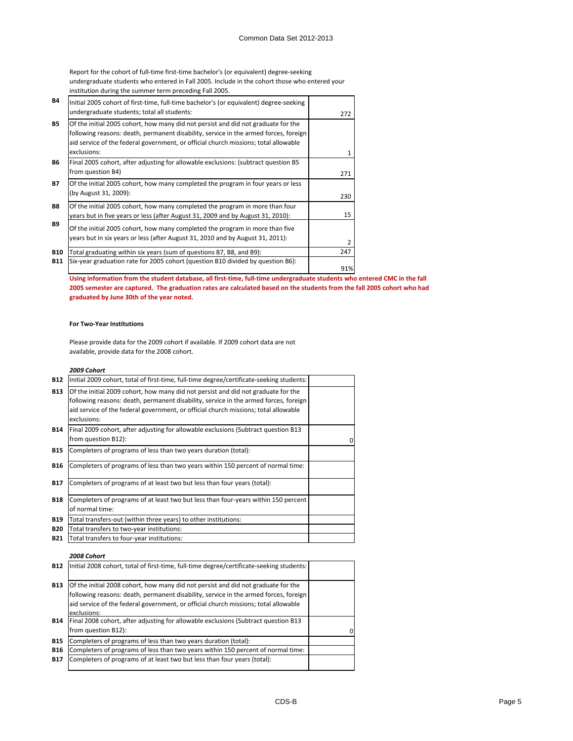Report for the cohort of full-time first-time bachelor's (or equivalent) degree-seeking undergraduate students who entered in Fall 2005. Include in the cohort those who entered your institution during the summer term preceding Fall 2005.

| <b>B4</b>  | Initial 2005 cohort of first-time, full-time bachelor's (or equivalent) degree-seeking<br>undergraduate students; total all students:                                                                                                                                           | 272          |
|------------|---------------------------------------------------------------------------------------------------------------------------------------------------------------------------------------------------------------------------------------------------------------------------------|--------------|
| <b>B5</b>  | Of the initial 2005 cohort, how many did not persist and did not graduate for the<br>following reasons: death, permanent disability, service in the armed forces, foreign<br>aid service of the federal government, or official church missions; total allowable<br>exclusions: | $\mathbf{1}$ |
| <b>B6</b>  | Final 2005 cohort, after adjusting for allowable exclusions: (subtract question B5<br>from question B4)                                                                                                                                                                         | 271          |
| <b>B7</b>  | Of the initial 2005 cohort, how many completed the program in four years or less<br>(by August 31, 2009):                                                                                                                                                                       | 230          |
| <b>B8</b>  | Of the initial 2005 cohort, how many completed the program in more than four<br>years but in five years or less (after August 31, 2009 and by August 31, 2010):                                                                                                                 | 15           |
| <b>B9</b>  | Of the initial 2005 cohort, how many completed the program in more than five<br>years but in six years or less (after August 31, 2010 and by August 31, 2011):                                                                                                                  | 2            |
| <b>B10</b> | Total graduating within six years (sum of questions B7, B8, and B9):                                                                                                                                                                                                            | 247          |
| <b>B11</b> | Six-year graduation rate for 2005 cohort (question B10 divided by question B6):                                                                                                                                                                                                 | 91%          |

**Using information from the student database, all first-time, full-time undergraduate students who entered CMC in the fall 2005 semester are captured. The graduation rates are calculated based on the students from the fall 2005 cohort who had graduated by June 30th of the year noted.**

#### **For Two-Year Institutions**

Please provide data for the 2009 cohort if available. If 2009 cohort data are not available, provide data for the 2008 cohort.

## *2009 Cohort*

| <b>B13</b><br>Of the initial 2009 cohort, how many did not persist and did not graduate for the<br>following reasons: death, permanent disability, service in the armed forces, foreign<br>aid service of the federal government, or official church missions; total allowable<br>exclusions:<br>Final 2009 cohort, after adjusting for allowable exclusions (Subtract question B13)<br><b>B14</b><br>from question B12):<br>Completers of programs of less than two years duration (total):<br><b>B15</b><br>Completers of programs of less than two years within 150 percent of normal time:<br><b>B16</b><br>Completers of programs of at least two but less than four years (total):<br><b>B17</b><br><b>B18</b><br>Completers of programs of at least two but less than four-years within 150 percent<br>of normal time: | <b>B12</b> | Initial 2009 cohort, total of first-time, full-time degree/certificate-seeking students: |   |
|-------------------------------------------------------------------------------------------------------------------------------------------------------------------------------------------------------------------------------------------------------------------------------------------------------------------------------------------------------------------------------------------------------------------------------------------------------------------------------------------------------------------------------------------------------------------------------------------------------------------------------------------------------------------------------------------------------------------------------------------------------------------------------------------------------------------------------|------------|------------------------------------------------------------------------------------------|---|
|                                                                                                                                                                                                                                                                                                                                                                                                                                                                                                                                                                                                                                                                                                                                                                                                                               |            |                                                                                          |   |
|                                                                                                                                                                                                                                                                                                                                                                                                                                                                                                                                                                                                                                                                                                                                                                                                                               |            |                                                                                          | 0 |
|                                                                                                                                                                                                                                                                                                                                                                                                                                                                                                                                                                                                                                                                                                                                                                                                                               |            |                                                                                          |   |
|                                                                                                                                                                                                                                                                                                                                                                                                                                                                                                                                                                                                                                                                                                                                                                                                                               |            |                                                                                          |   |
|                                                                                                                                                                                                                                                                                                                                                                                                                                                                                                                                                                                                                                                                                                                                                                                                                               |            |                                                                                          |   |
|                                                                                                                                                                                                                                                                                                                                                                                                                                                                                                                                                                                                                                                                                                                                                                                                                               |            |                                                                                          |   |
| Total transfers-out (within three years) to other institutions:<br><b>B19</b>                                                                                                                                                                                                                                                                                                                                                                                                                                                                                                                                                                                                                                                                                                                                                 |            |                                                                                          |   |
| <b>B20</b><br>Total transfers to two-year institutions:                                                                                                                                                                                                                                                                                                                                                                                                                                                                                                                                                                                                                                                                                                                                                                       |            |                                                                                          |   |
| <b>B21</b><br>Total transfers to four-year institutions:                                                                                                                                                                                                                                                                                                                                                                                                                                                                                                                                                                                                                                                                                                                                                                      |            |                                                                                          |   |

#### *2008 Cohort*

| <b>B12</b> | Initial 2008 cohort, total of first-time, full-time degree/certificate-seeking students: |          |
|------------|------------------------------------------------------------------------------------------|----------|
| <b>B13</b> | Of the initial 2008 cohort, how many did not persist and did not graduate for the        |          |
|            | following reasons: death, permanent disability, service in the armed forces, foreign     |          |
|            | aid service of the federal government, or official church missions; total allowable      |          |
|            | exclusions:                                                                              |          |
| <b>B14</b> | Final 2008 cohort, after adjusting for allowable exclusions (Subtract question B13)      |          |
|            | from question B12):                                                                      | $\Omega$ |
| <b>B15</b> | Completers of programs of less than two years duration (total):                          |          |
| <b>B16</b> | Completers of programs of less than two years within 150 percent of normal time:         |          |
| <b>B17</b> | Completers of programs of at least two but less than four years (total):                 |          |
|            |                                                                                          |          |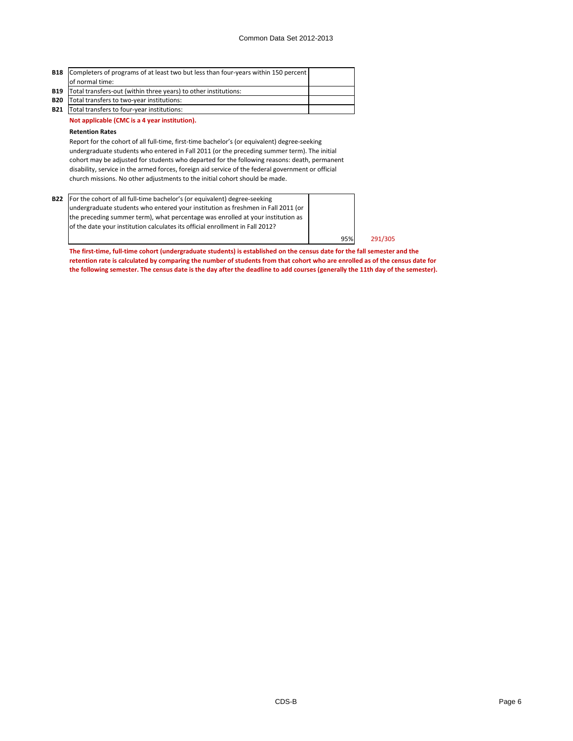| <b>B18</b> Completers of programs of at least two but less than four-years within 150 percent |  |
|-----------------------------------------------------------------------------------------------|--|
| of normal time:                                                                               |  |
| <b>B19</b> Total transfers-out (within three years) to other institutions:                    |  |
| <b>B20</b>   Total transfers to two-year institutions:                                        |  |
| <b>B21</b> Total transfers to four-year institutions:                                         |  |

#### **Not applicable (CMC is a 4 year institution).**

#### **Retention Rates**

Report for the cohort of all full-time, first-time bachelor's (or equivalent) degree-seeking undergraduate students who entered in Fall 2011 (or the preceding summer term). The initial cohort may be adjusted for students who departed for the following reasons: death, permanent disability, service in the armed forces, foreign aid service of the federal government or official church missions. No other adjustments to the initial cohort should be made.

**B22** For the cohort of all full-time bachelor's (or equivalent) degree-seeking undergraduate students who entered your institution as freshmen in Fall 2011 (or the preceding summer term), what percentage was enrolled at your institution as of the date your institution calculates its official enrollment in Fall 2012?

95% 291/305

**The first-time, full-time cohort (undergraduate students) is established on the census date for the fall semester and the retention rate is calculated by comparing the number of students from that cohort who are enrolled as of the census date for the following semester. The census date is the day after the deadline to add courses (generally the 11th day of the semester).**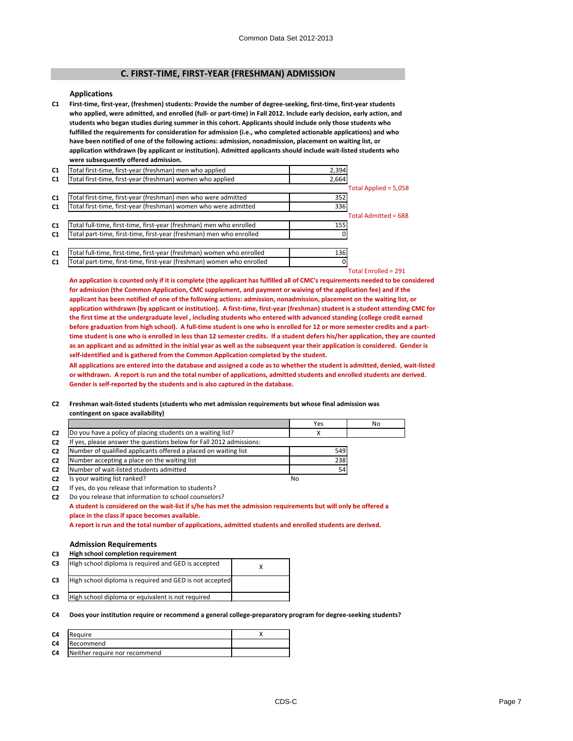# **C. FIRST-TIME, FIRST-YEAR (FRESHMAN) ADMISSION**

#### **Applications**

**C1 First-time, first-year, (freshmen) students: Provide the number of degree-seeking, first-time, first-year students who applied, were admitted, and enrolled (full- or part-time) in Fall 2012. Include early decision, early action, and students who began studies during summer in this cohort. Applicants should include only those students who fulfilled the requirements for consideration for admission (i.e., who completed actionable applications) and who have been notified of one of the following actions: admission, nonadmission, placement on waiting list, or application withdrawn (by applicant or institution). Admitted applicants should include wait-listed students who were subsequently offered admission.**

| C1             | Total first-time, first-year (freshman) men who applied               | 2,394      |                         |
|----------------|-----------------------------------------------------------------------|------------|-------------------------|
| C1             | Total first-time, first-year (freshman) women who applied             | 2,664      |                         |
|                |                                                                       |            | Total Applied = $5.058$ |
| C <sub>1</sub> | Total first-time, first-year (freshman) men who were admitted         | 352        |                         |
| C <sub>1</sub> | Total first-time, first-year (freshman) women who were admitted       | 336        |                         |
|                |                                                                       |            | Total Admitted = 688    |
| C <sub>1</sub> | Total full-time, first-time, first-year (freshman) men who enrolled   | <b>155</b> |                         |
| C <sub>1</sub> | Total part-time, first-time, first-year (freshman) men who enrolled   |            |                         |
|                |                                                                       |            |                         |
| C <sub>1</sub> | Total full-time, first-time, first-year (freshman) women who enrolled | 136        |                         |
| C <sub>1</sub> | Total part-time, first-time, first-year (freshman) women who enrolled |            |                         |
|                |                                                                       |            |                         |

Total Enrolled = 291

**An application is counted only if it is complete (the applicant has fulfilled all of CMC's requirements needed to be considered for admission (the Common Application, CMC supplement, and payment or waiving of the application fee) and if the applicant has been notified of one of the following actions: admission, nonadmission, placement on the waiting list, or application withdrawn (by applicant or institution). A first-time, first-year (freshman) student is a student attending CMC for the first time at the undergraduate level , including students who entered with advanced standing (college credit earned before graduation from high school). A full-time student is one who is enrolled for 12 or more semester credits and a parttime student is one who is enrolled in less than 12 semester credits. If a student defers his/her application, they are counted as an applicant and as admitted in the initial year as well as the subsequent year their application is considered. Gender is self-identified and is gathered from the Common Application completed by the student.**

**All applications are entered into the database and assigned a code as to whether the student is admitted, denied, wait-listed or withdrawn. A report is run and the total number of applications, admitted students and enrolled students are derived. Gender is self-reported by the students and is also captured in the database.**

## **C2 Freshman wait-listed students (students who met admission requirements but whose final admission was contingent on space availability)**

|                |                                                                     | Yes             | No |
|----------------|---------------------------------------------------------------------|-----------------|----|
| C <sub>2</sub> | Do you have a policy of placing students on a waiting list?         |                 |    |
| C <sub>2</sub> | If yes, please answer the questions below for Fall 2012 admissions: |                 |    |
| C <sub>2</sub> | Number of qualified applicants offered a placed on waiting list     | 549             |    |
| C <sub>2</sub> | Number accepting a place on the waiting list                        | 238             |    |
| C <sub>2</sub> | Number of wait-listed students admitted                             | 54 <sub>1</sub> |    |
| C <sub>2</sub> | Is your waiting list ranked?                                        | No              |    |

**C2** If yes, do you release that information to students?

**C2** Do you release that information to school counselors?

**A student is considered on the wait-list if s/he has met the admission requirements but will only be offered a place in the class if space becomes available.** 

**A report is run and the total number of applications, admitted students and enrolled students are derived.** 

#### **Admission Requirements**

| C3 | High school completion requirement                      |  |
|----|---------------------------------------------------------|--|
| C3 | High school diploma is required and GED is accepted     |  |
| C3 | High school diploma is required and GED is not accepted |  |
| C3 | High school diploma or equivalent is not required       |  |

**C4 Does your institution require or recommend a general college-preparatory program for degree-seeking students?**

| C <sub>4</sub> | Reguire                       |  |
|----------------|-------------------------------|--|
| C <sub>4</sub> | Recommend                     |  |
| C <sub>4</sub> | Neither require nor recommend |  |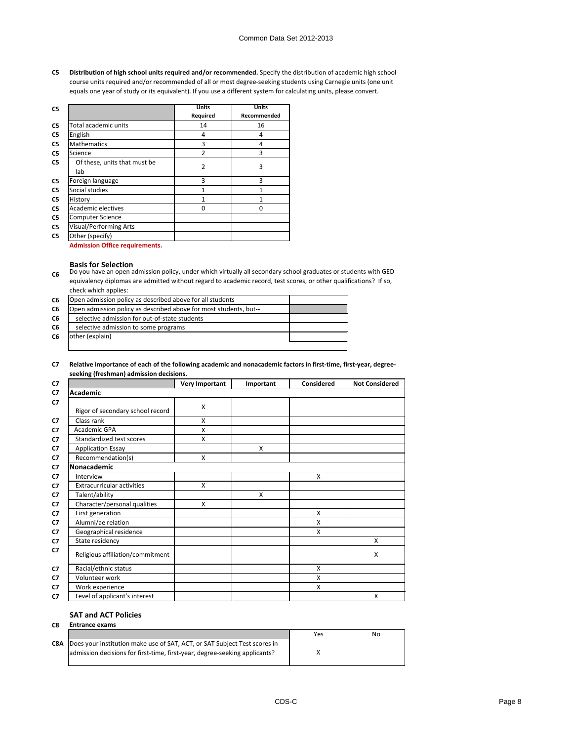**C5 Distribution of high school units required and/or recommended.** Specify the distribution of academic high school course units required and/or recommended of all or most degree-seeking students using Carnegie units (one unit equals one year of study or its equivalent). If you use a different system for calculating units, please convert.

| C <sub>5</sub> |                                     | <b>Units</b> | <b>Units</b> |
|----------------|-------------------------------------|--------------|--------------|
|                |                                     | Required     | Recommended  |
| C <sub>5</sub> | Total academic units                | 14           | 16           |
| C <sub>5</sub> | English                             | 4            | 4            |
| C <sub>5</sub> | <b>Mathematics</b>                  | 3            | 4            |
| C <sub>5</sub> | Science                             | 2            | 3            |
| C <sub>5</sub> | Of these, units that must be<br>lab | 2            | 3            |
| C <sub>5</sub> | Foreign language                    | 3            | 3            |
| C <sub>5</sub> | Social studies                      | 1            | 1            |
| C <sub>5</sub> | History                             | 1            | 1            |
| C <sub>5</sub> | Academic electives                  | 0            | 0            |
| C <sub>5</sub> | Computer Science                    |              |              |
| C <sub>5</sub> | <b>Visual/Performing Arts</b>       |              |              |
| C <sub>5</sub> | Other (specify)                     |              |              |

**Admission Office requirements.**

#### **Basis for Selection**

**C6** Do you have an open admission policy, under which virtually all secondary school graduates or students with GED equivalency diplomas are admitted without regard to academic record, test scores, or other qualifications? If so, check which applies:

| C <sub>6</sub> | Open admission policy as described above for all students         |  |
|----------------|-------------------------------------------------------------------|--|
| C <sub>6</sub> | Open admission policy as described above for most students, but-- |  |
| C6             | selective admission for out-of-state students                     |  |
| C <sub>6</sub> | selective admission to some programs                              |  |
| C <sub>6</sub> | other (explain)                                                   |  |
|                |                                                                   |  |

**C7 Relative importance of each of the following academic and nonacademic factors in first-time, first-year, degreeseeking (freshman) admission decisions.**

| C7             |                                   | <b>Very Important</b> | Important | <b>Considered</b> | <b>Not Considered</b> |
|----------------|-----------------------------------|-----------------------|-----------|-------------------|-----------------------|
| C <sub>7</sub> | <b>Academic</b>                   |                       |           |                   |                       |
| C <sub>7</sub> | Rigor of secondary school record  | X                     |           |                   |                       |
| C <sub>7</sub> | Class rank                        | X                     |           |                   |                       |
| C <sub>7</sub> | Academic GPA                      | X                     |           |                   |                       |
| C <sub>7</sub> | Standardized test scores          | X                     |           |                   |                       |
| C <sub>7</sub> | <b>Application Essay</b>          |                       | Χ         |                   |                       |
| C <sub>7</sub> | Recommendation(s)                 | Χ                     |           |                   |                       |
| C <sub>7</sub> | Nonacademic                       |                       |           |                   |                       |
| C <sub>7</sub> | Interview                         |                       |           | X                 |                       |
| C <sub>7</sub> | <b>Extracurricular activities</b> | X                     |           |                   |                       |
| C <sub>7</sub> | Talent/ability                    |                       | X         |                   |                       |
| C <sub>7</sub> | Character/personal qualities      | X                     |           |                   |                       |
| C <sub>7</sub> | First generation                  |                       |           | X                 |                       |
| C <sub>7</sub> | Alumni/ae relation                |                       |           | X                 |                       |
| C <sub>7</sub> | Geographical residence            |                       |           | X                 |                       |
| C <sub>7</sub> | State residency                   |                       |           |                   | X                     |
| C7             | Religious affiliation/commitment  |                       |           |                   | X                     |
| C <sub>7</sub> | Racial/ethnic status              |                       |           | X                 |                       |
| C <sub>7</sub> | Volunteer work                    |                       |           | X                 |                       |
| C7             | Work experience                   |                       |           | X                 |                       |
| C <sub>7</sub> | Level of applicant's interest     |                       |           |                   | X                     |

# **SAT and ACT Policies**

**C8 Entrance exams** 

|                                                                                      | Yes | No |
|--------------------------------------------------------------------------------------|-----|----|
| <b>C8A</b> Does your institution make use of SAT, ACT, or SAT Subject Test scores in |     |    |
| admission decisions for first-time, first-year, degree-seeking applicants?           |     |    |
|                                                                                      |     |    |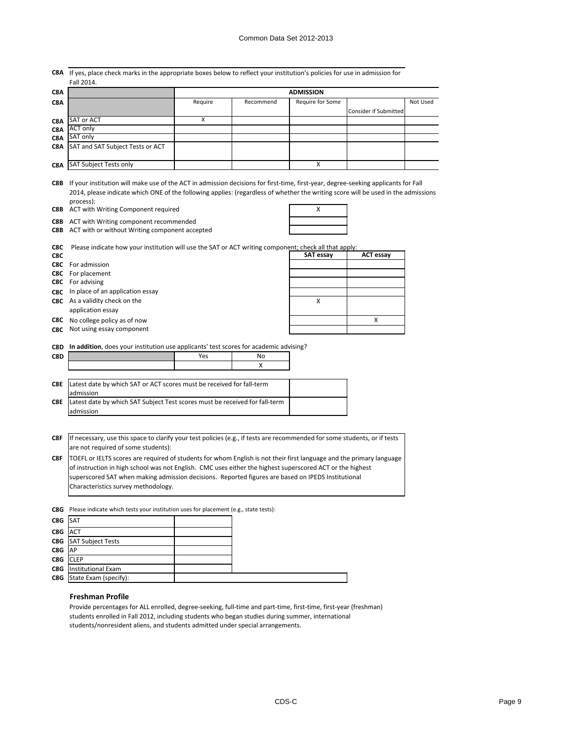| C8A                                                  | If yes, place check marks in the appropriate boxes below to reflect your institution's policies for use in admission for                                                                                                                                                                                                                                                                                                                                                                                                                                                                      |         |           |                       |                              |          |
|------------------------------------------------------|-----------------------------------------------------------------------------------------------------------------------------------------------------------------------------------------------------------------------------------------------------------------------------------------------------------------------------------------------------------------------------------------------------------------------------------------------------------------------------------------------------------------------------------------------------------------------------------------------|---------|-----------|-----------------------|------------------------------|----------|
|                                                      | Fall 2014.                                                                                                                                                                                                                                                                                                                                                                                                                                                                                                                                                                                    |         |           |                       |                              |          |
| C8A                                                  |                                                                                                                                                                                                                                                                                                                                                                                                                                                                                                                                                                                               |         |           | <b>ADMISSION</b>      |                              |          |
| C8A                                                  |                                                                                                                                                                                                                                                                                                                                                                                                                                                                                                                                                                                               | Require | Recommend | Require for Some      | <b>Consider if Submitted</b> | Not Used |
| C8A                                                  | <b>SAT or ACT</b>                                                                                                                                                                                                                                                                                                                                                                                                                                                                                                                                                                             | X       |           |                       |                              |          |
| C8A                                                  | <b>ACT only</b>                                                                                                                                                                                                                                                                                                                                                                                                                                                                                                                                                                               |         |           |                       |                              |          |
| C8A                                                  | SAT only                                                                                                                                                                                                                                                                                                                                                                                                                                                                                                                                                                                      |         |           |                       |                              |          |
| C8A                                                  | SAT and SAT Subject Tests or ACT                                                                                                                                                                                                                                                                                                                                                                                                                                                                                                                                                              |         |           |                       |                              |          |
| C8A                                                  | <b>SAT Subject Tests only</b>                                                                                                                                                                                                                                                                                                                                                                                                                                                                                                                                                                 |         |           | $\pmb{\times}$        |                              |          |
| C8B<br>C8B<br>C8B<br>C8C<br>C8C<br>C8C<br>C8C<br>C8C | If your institution will make use of the ACT in admission decisions for first-time, first-year, degree-seeking applicants for Fall<br>2014, please indicate which ONE of the following applies: (regardless of whether the writing score will be used in the admissions<br>process):<br><b>C8B</b> ACT with Writing Component required<br>ACT with Writing component recommended<br>ACT with or without Writing component accepted<br>Please indicate how your institution will use the SAT or ACT writing component; check all that apply:<br>For admission<br>For placement<br>For advising |         |           | X<br><b>SAT essay</b> | <b>ACT</b> essay             |          |
| C8C                                                  | In place of an application essay                                                                                                                                                                                                                                                                                                                                                                                                                                                                                                                                                              |         |           |                       |                              |          |
| C8C                                                  | As a validity check on the                                                                                                                                                                                                                                                                                                                                                                                                                                                                                                                                                                    |         |           | X                     |                              |          |
|                                                      | application essay                                                                                                                                                                                                                                                                                                                                                                                                                                                                                                                                                                             |         |           |                       |                              |          |
| C8C                                                  | No college policy as of now                                                                                                                                                                                                                                                                                                                                                                                                                                                                                                                                                                   |         |           |                       | X                            |          |
| C8C                                                  | Not using essay component                                                                                                                                                                                                                                                                                                                                                                                                                                                                                                                                                                     |         |           |                       |                              |          |
| C8D<br>C8D<br>C8E<br>C8E                             | In addition, does your institution use applicants' test scores for academic advising?<br>Latest date by which SAT or ACT scores must be received for fall-term<br>admission<br>Latest date by which SAT Subject Test scores must be received for fall-term                                                                                                                                                                                                                                                                                                                                    | Yes     | No<br>X   |                       |                              |          |
|                                                      | admission                                                                                                                                                                                                                                                                                                                                                                                                                                                                                                                                                                                     |         |           |                       |                              |          |
| C8F                                                  | If necessary, use this space to clarify your test policies (e.g., if tests are recommended for some students, or if tests<br>are not required of some students):                                                                                                                                                                                                                                                                                                                                                                                                                              |         |           |                       |                              |          |
| C8F                                                  | TOEFL or IELTS scores are required of students for whom English is not their first language and the primary language<br>of instruction in high school was not English. CMC uses either the highest superscored ACT or the highest<br>superscored SAT when making admission decisions. Reported figures are based on IPEDS Institutional<br>Characteristics survey methodology.                                                                                                                                                                                                                |         |           |                       |                              |          |
| C8G                                                  | Please indicate which tests your institution uses for placement (e.g., state tests):                                                                                                                                                                                                                                                                                                                                                                                                                                                                                                          |         |           |                       |                              |          |
| C8G                                                  | <b>SAT</b>                                                                                                                                                                                                                                                                                                                                                                                                                                                                                                                                                                                    |         |           |                       |                              |          |
| C8G                                                  | <b>ACT</b>                                                                                                                                                                                                                                                                                                                                                                                                                                                                                                                                                                                    |         |           |                       |                              |          |
| C8G                                                  | <b>SAT Subject Tests</b>                                                                                                                                                                                                                                                                                                                                                                                                                                                                                                                                                                      |         |           |                       |                              |          |
| C8G                                                  | AP                                                                                                                                                                                                                                                                                                                                                                                                                                                                                                                                                                                            |         |           |                       |                              |          |
| C8G                                                  | <b>CLEP</b>                                                                                                                                                                                                                                                                                                                                                                                                                                                                                                                                                                                   |         |           |                       |                              |          |

# **C8G** State Exam (specify): **Freshman Profile**

**C8G** Institutional Exam

Provide percentages for ALL enrolled, degree-seeking, full-time and part-time, first-time, first-year (freshman) students enrolled in Fall 2012, including students who began studies during summer, international students/nonresident aliens, and students admitted under special arrangements.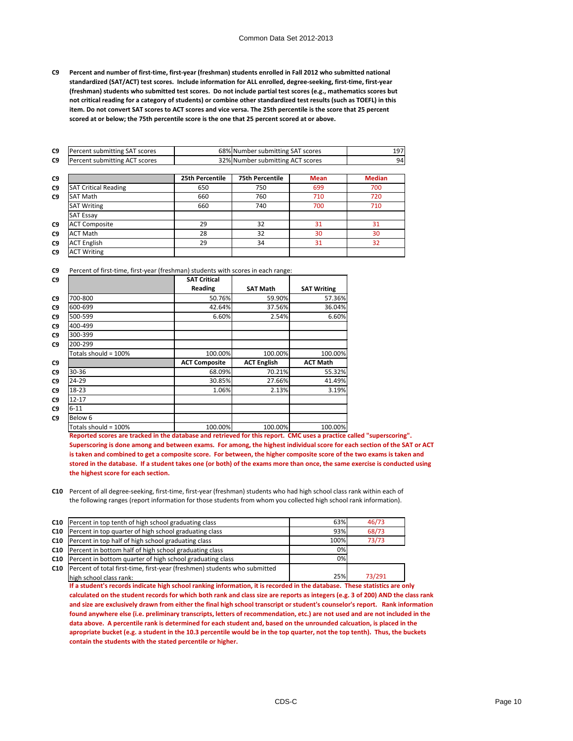**C9 Percent and number of first-time, first-year (freshman) students enrolled in Fall 2012 who submitted national standardized (SAT/ACT) test scores. Include information for ALL enrolled, degree-seeking, first-time, first-year (freshman) students who submitted test scores. Do not include partial test scores (e.g., mathematics scores but not critical reading for a category of students) or combine other standardized test results (such as TOEFL) in this item. Do not convert SAT scores to ACT scores and vice versa. The 25th percentile is the score that 25 percent scored at or below; the 75th percentile score is the one that 25 percent scored at or above.**

| C9 | Percent submitting SAT scores |                 | 68% Number submitting SAT scores      |     |     |  |  |
|----|-------------------------------|-----------------|---------------------------------------|-----|-----|--|--|
| C9 | Percent submitting ACT scores |                 | 32% Number submitting ACT scores      |     |     |  |  |
| C9 |                               | 25th Percentile | <b>75th Percentile</b><br><b>Mean</b> |     |     |  |  |
| C9 | <b>SAT Critical Reading</b>   | 650             | 750                                   | 699 | 700 |  |  |
| C9 | <b>SAT Math</b>               | 660             | 760                                   | 710 | 720 |  |  |
|    | <b>SAT Writing</b>            | 660             | 740                                   | 700 | 710 |  |  |
|    | <b>SAT Essay</b>              |                 |                                       |     |     |  |  |
| C9 | <b>ACT Composite</b>          | 29              | 32                                    | 31  | 31  |  |  |
| C9 | <b>ACT Math</b>               | 28              | 32                                    | 30  | 30  |  |  |
| C9 | <b>ACT English</b>            | 29              | 34                                    | 31  | 32  |  |  |
| C9 | <b>ACT Writing</b>            |                 |                                       |     |     |  |  |

**C9** Percent of first-time, first-year (freshman) students with scores in each range:

| C9 |                         | <b>SAT Critical</b>  |                    |                    |
|----|-------------------------|----------------------|--------------------|--------------------|
|    |                         | <b>Reading</b>       | <b>SAT Math</b>    | <b>SAT Writing</b> |
| C9 | 700-800                 | 50.76%               | 59.90%             | 57.36%             |
| C9 | 600-699                 | 42.64%               | 37.56%             | 36.04%             |
| C9 | 500-599                 | 6.60%                | 2.54%              | 6.60%              |
| C9 | 400-499                 |                      |                    |                    |
| C9 | 300-399                 |                      |                    |                    |
| C9 | 200-299                 |                      |                    |                    |
|    | Totals should = 100%    | 100.00%              | 100.00%            | 100.00%            |
| C9 |                         | <b>ACT Composite</b> | <b>ACT English</b> | <b>ACT Math</b>    |
| C9 | 30-36                   | 68.09%               | 70.21%             | 55.32%             |
| C9 | 24-29                   | 30.85%               | 27.66%             | 41.49%             |
| C9 | 18-23                   | 1.06%                | 2.13%              | 3.19%              |
| C9 | $12 - 17$               |                      |                    |                    |
| C9 | $6 - 11$                |                      |                    |                    |
| C9 | Below 6                 |                      |                    |                    |
|    | Totals should = $100\%$ | 100.00%              | 100.00%            | 100.00%            |

**Reported scores are tracked in the database and retrieved for this report. CMC uses a practice called "superscoring". Superscoring is done among and between exams. For among, the highest individual score for each section of the SAT or ACT is taken and combined to get a composite score. For between, the higher composite score of the two exams is taken and stored in the database. If a student takes one (or both) of the exams more than once, the same exercise is conducted using the highest score for each section.**

**C10** Percent of all degree-seeking, first-time, first-year (freshman) students who had high school class rank within each of the following ranges (report information for those students from whom you collected high school rank information).

| C <sub>10</sub> | Percent in top tenth of high school graduating class                      | 63%  | 46/73  |
|-----------------|---------------------------------------------------------------------------|------|--------|
| C <sub>10</sub> | Percent in top quarter of high school graduating class                    | 93%  | 68/73  |
| C10             | Percent in top half of high school graduating class                       | 100% | 73/73  |
| C <sub>10</sub> | Percent in bottom half of high school graduating class                    | 0%   |        |
| C10             | Percent in bottom quarter of high school graduating class                 | 0%   |        |
| C <sub>10</sub> | Percent of total first-time, first-year (freshmen) students who submitted |      |        |
|                 | high school class rank:                                                   | 25%  | 73/291 |

**If a student's records indicate high school ranking information, it is recorded in the database. These statistics are only calculated on the student records for which both rank and class size are reports as integers (e.g. 3 of 200) AND the class rank and size are exclusively drawn from either the final high school transcript or student's counselor's report. Rank information found anywhere else (i.e. preliminary transcripts, letters of recommendation, etc.) are not used and are not included in the data above. A percentile rank is determined for each student and, based on the unrounded calcuation, is placed in the apropriate bucket (e.g. a student in the 10.3 percentile would be in the top quarter, not the top tenth). Thus, the buckets contain the students with the stated percentile or higher.**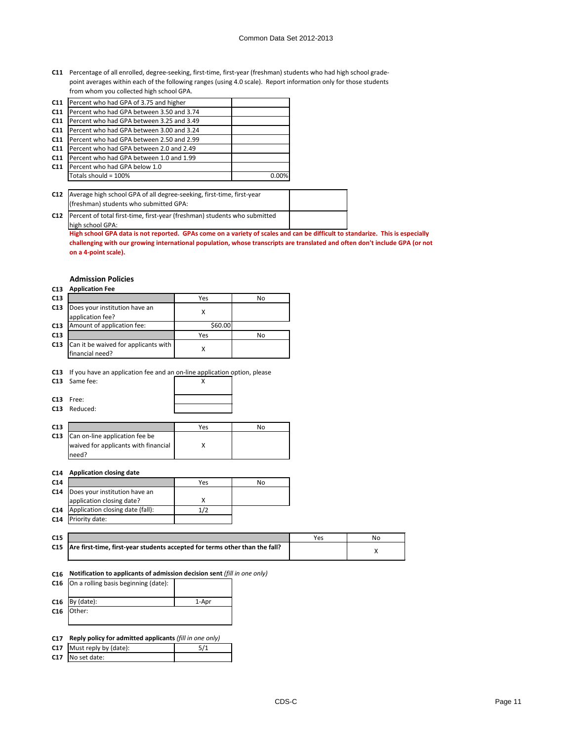## Common Data Set 2012-2013

**C11** Percentage of all enrolled, degree-seeking, first-time, first-year (freshman) students who had high school gradepoint averages within each of the following ranges (using 4.0 scale). Report information only for those students from whom you collected high school GPA.

| C <sub>11</sub> | Percent who had GPA of 3.75 and higher                                |  |
|-----------------|-----------------------------------------------------------------------|--|
| C <sub>11</sub> | Percent who had GPA between 3.50 and 3.74                             |  |
| C <sub>11</sub> | Percent who had GPA between 3.25 and 3.49                             |  |
| C <sub>11</sub> | Percent who had GPA between 3.00 and 3.24                             |  |
| C <sub>11</sub> | Percent who had GPA between 2.50 and 2.99                             |  |
| C <sub>11</sub> | Percent who had GPA between 2.0 and 2.49                              |  |
| C <sub>11</sub> | Percent who had GPA between 1.0 and 1.99                              |  |
| C <sub>11</sub> | Percent who had GPA below 1.0                                         |  |
|                 | Totals should = $100\%$<br>0.00%                                      |  |
|                 |                                                                       |  |
| C <sub>12</sub> | Average high school GPA of all degree-seeking, first-time, first-year |  |
|                 | (freshman) students who submitted GPA:                                |  |

**C12** Percent of total first-time, first-year (freshman) students who submitted high school GPA: **High school GPA data is not reported. GPAs come on a variety of scales and can be difficult to standarize. This is especially challenging with our growing international population, whose transcripts are translated and often don't include GPA (or not** 

# **Admission Policies**

**on a 4-point scale).**

| C13                                | <b>Application Fee</b>                                                                |         |    |  |  |  |
|------------------------------------|---------------------------------------------------------------------------------------|---------|----|--|--|--|
| C13                                |                                                                                       | Yes     | No |  |  |  |
| C13                                | Does your institution have an<br>application fee?                                     | x       |    |  |  |  |
| C13                                | Amount of application fee:                                                            | \$60.00 |    |  |  |  |
| C <sub>13</sub>                    |                                                                                       | Yes     | No |  |  |  |
| C13                                | Can it be waived for applicants with<br>financial need?                               | x       |    |  |  |  |
| C <sub>13</sub><br>C <sub>13</sub> | If you have an application fee and an on-line application option, please<br>Same fee: | х       |    |  |  |  |
|                                    |                                                                                       |         |    |  |  |  |

| C13 |                                                                                   | Yes | Nο |
|-----|-----------------------------------------------------------------------------------|-----|----|
|     | <b>C13</b> Can on-line application fee be<br>waived for applicants with financial |     |    |
|     | need?                                                                             |     |    |

#### **C14 Application closing date**

| C <sub>14</sub> |                                  | Yes   | No |
|-----------------|----------------------------------|-------|----|
| C14             | Does your institution have an    |       |    |
|                 | application closing date?        |       |    |
| C <sub>14</sub> | Application closing date (fall): | 1 / J |    |
| C <sub>14</sub> | Priority date:                   |       |    |

| C <sub>15</sub> |                                                                                   | Yes | No |
|-----------------|-----------------------------------------------------------------------------------|-----|----|
|                 | C15   Are first-time, first-year students accepted for terms other than the fall? |     |    |

**C16 Notification to applicants of admission decision sent** *(fill in one only)*

| C16 On a rolling basis beginning (date): |       |
|------------------------------------------|-------|
| $C16$ By (date):                         | 1-Apr |
| C16 Other:                               |       |
|                                          |       |

| C17 Reply policy for admitted applicants (fill in one only) |
|-------------------------------------------------------------|
|-------------------------------------------------------------|

**C17** Must reply by (date): 5/1 **C17** No set date: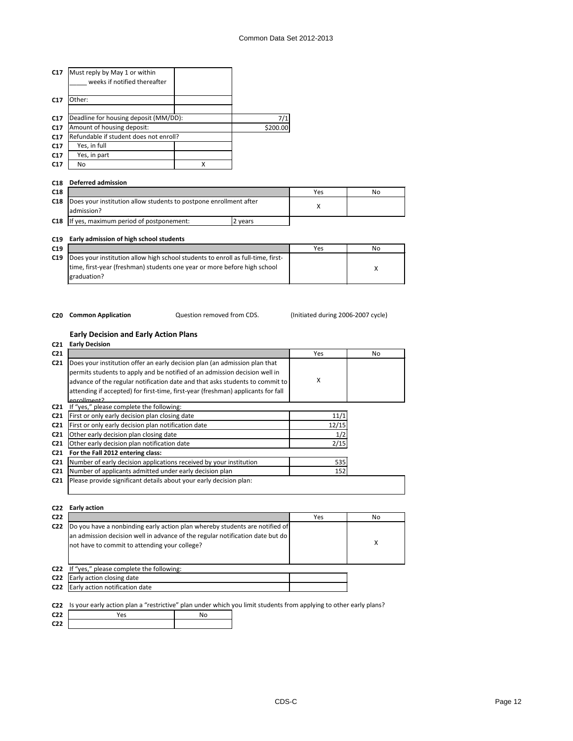| C <sub>17</sub> | Must reply by May 1 or within<br>weeks if notified thereafter |   |          |
|-----------------|---------------------------------------------------------------|---|----------|
| C17             | Other:                                                        |   |          |
| C17             | Deadline for housing deposit (MM/DD):                         |   | 7/1      |
| C <sub>17</sub> | Amount of housing deposit:                                    |   | \$200.00 |
| C17             | Refundable if student does not enroll?                        |   |          |
| C17             | Yes, in full                                                  |   |          |
| C17             | Yes, in part                                                  |   |          |
| C17             | No                                                            | x |          |

#### **C18 Deferred admission**

| C <sub>18</sub> |                                                                                  | Yes | No |
|-----------------|----------------------------------------------------------------------------------|-----|----|
| C18             | Does your institution allow students to postpone enrollment after<br>ladmission? |     |    |
| C <sub>18</sub> | If yes, maximum period of postponement:<br>vears                                 |     |    |

## **C19 Early admission of high school students**

| C19 |                                                                                          | Yes | No |
|-----|------------------------------------------------------------------------------------------|-----|----|
| C19 | Does your institution allow high school students to enroll as full-time, first-          |     |    |
|     | time, first-year (freshman) students one year or more before high school<br>Igraduation? |     |    |
|     |                                                                                          |     |    |

Question removed from CDS.

**C20 Common Application C20** Common **Application CLEA C20** Common **Application CLEA CLEA CLEA CLEA CLEA CLEA CLEA CLEA CLEA CLEA CLEA CLEA CLEA CLEA CLEA CLEA CLEA CLEA CLEA CL** 

# **Early Decision and Early Action Plans**

| C <sub>21</sub> | <b>Early Decision</b>                                                            |       |    |
|-----------------|----------------------------------------------------------------------------------|-------|----|
| C <sub>21</sub> |                                                                                  | Yes   | No |
| C <sub>21</sub> | Does your institution offer an early decision plan (an admission plan that       |       |    |
|                 | permits students to apply and be notified of an admission decision well in       |       |    |
|                 | advance of the regular notification date and that asks students to commit to     | X     |    |
|                 | attending if accepted) for first-time, first-year (freshman) applicants for fall |       |    |
|                 | enrollment?                                                                      |       |    |
| C21             | If "yes," please complete the following:                                         |       |    |
| C <sub>21</sub> | First or only early decision plan closing date                                   | 11/1  |    |
| C <sub>21</sub> | First or only early decision plan notification date                              | 12/15 |    |
| C <sub>21</sub> | Other early decision plan closing date                                           | 1/2   |    |
| C <sub>21</sub> | Other early decision plan notification date                                      | 2/15  |    |
| C <sub>21</sub> | For the Fall 2012 entering class:                                                |       |    |
| C <sub>21</sub> | Number of early decision applications received by your institution               | 535   |    |
| C <sub>21</sub> | Number of applicants admitted under early decision plan                          | 152   |    |
| C <sub>21</sub> | Please provide significant details about your early decision plan:               |       |    |
|                 |                                                                                  |       |    |

| C <sub>22</sub> |                                                                                                                                                                                                               | Yes | No |
|-----------------|---------------------------------------------------------------------------------------------------------------------------------------------------------------------------------------------------------------|-----|----|
| C22             | Do you have a nonbinding early action plan whereby students are notified of<br>an admission decision well in advance of the regular notification date but do<br>not have to commit to attending your college? |     | x  |
|                 | C22 If "yes," please complete the following:                                                                                                                                                                  |     |    |
| C <sub>22</sub> | Early action closing date                                                                                                                                                                                     |     |    |
| C <sub>22</sub> | Early action notification date                                                                                                                                                                                |     |    |

**C22** Is your early action plan a "restrictive" plan under which you limit students from applying to other early plans?

**C22** Yes No **C22**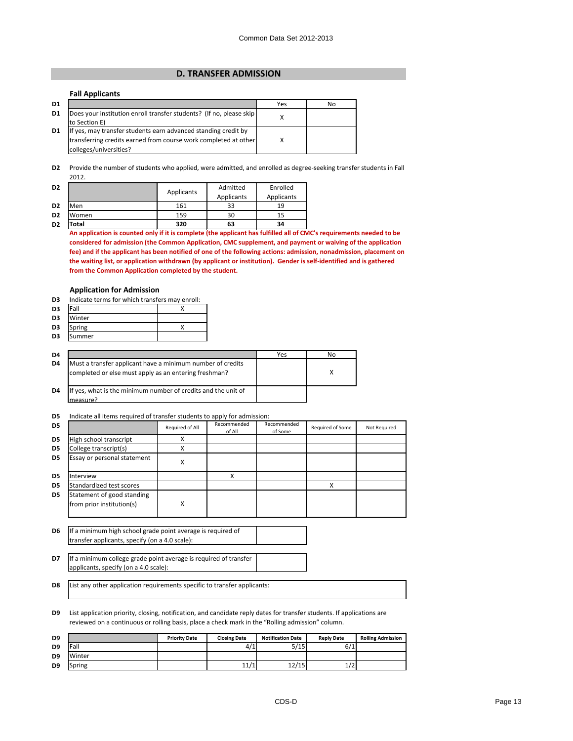# **D. TRANSFER ADMISSION**

#### **Fall Applicants**

| D1 |                                                                                                                                                             | Yes | No |
|----|-------------------------------------------------------------------------------------------------------------------------------------------------------------|-----|----|
| D1 | Does your institution enroll transfer students? (If no, please skip<br>to Section E)                                                                        |     |    |
| D1 | If yes, may transfer students earn advanced standing credit by<br>transferring credits earned from course work completed at other<br>colleges/universities? |     |    |

**D2** Provide the number of students who applied, were admitted, and enrolled as degree-seeking transfer students in Fall 2012.

| D <sub>2</sub> |       | Applicants | Admitted<br>Applicants | Enrolled<br>Applicants |
|----------------|-------|------------|------------------------|------------------------|
| D <sub>2</sub> | Men   | 161        | 33                     | 19                     |
| D <sub>2</sub> | Women | 159        | 30                     | 15                     |
| D <sub>2</sub> | Total | 320        | 63                     | 34                     |

**An application is counted only if it is complete (the applicant has fulfilled all of CMC's requirements needed to be considered for admission (the Common Application, CMC supplement, and payment or waiving of the application fee) and if the applicant has been notified of one of the following actions: admission, nonadmission, placement on the waiting list, or application withdrawn (by applicant or institution). Gender is self-identified and is gathered from the Common Application completed by the student.**

#### **Application for Admission**

| D3 | Indicate terms for which transfers may enroll: |
|----|------------------------------------------------|
|----|------------------------------------------------|

| D <sub>3</sub> | Fall   |  |
|----------------|--------|--|
| D <sub>3</sub> | Winter |  |
| D <sub>3</sub> | Spring |  |
| D3             | Summer |  |

| D4 |                                                                                                                     | Yes | No |
|----|---------------------------------------------------------------------------------------------------------------------|-----|----|
| D4 | Must a transfer applicant have a minimum number of credits<br>completed or else must apply as an entering freshman? |     |    |
| D4 | If yes, what is the minimum number of credits and the unit of<br>measure?                                           |     |    |

#### **D5** Indicate all items required of transfer students to apply for admission:

| D5             |                                                         | Required of All | Recommended<br>of All | Recommended<br>of Some | Required of Some | Not Required |
|----------------|---------------------------------------------------------|-----------------|-----------------------|------------------------|------------------|--------------|
| D <sub>5</sub> | High school transcript                                  |                 |                       |                        |                  |              |
| D <sub>5</sub> | College transcript(s)                                   |                 |                       |                        |                  |              |
| D <sub>5</sub> | Essay or personal statement                             | х               |                       |                        |                  |              |
| D5             | Interview                                               |                 | х                     |                        |                  |              |
| D <sub>5</sub> | Standardized test scores                                |                 |                       |                        |                  |              |
| D <sub>5</sub> | Statement of good standing<br>from prior institution(s) | Χ               |                       |                        |                  |              |

| D <sub>6</sub> | If a minimum high school grade point average is required of      |  |
|----------------|------------------------------------------------------------------|--|
|                | transfer applicants, specify (on a 4.0 scale):                   |  |
|                |                                                                  |  |
| D7             | If a minimum college grade point average is required of transfer |  |
|                | applicants, specify (on a 4.0 scale):                            |  |

**D8** List any other application requirements specific to transfer applicants:

**D9** List application priority, closing, notification, and candidate reply dates for transfer students. If applications are reviewed on a continuous or rolling basis, place a check mark in the "Rolling admission" column.

| D <sub>9</sub> |        | <b>Priority Date</b> | <b>Closing Date</b> | <b>Notification Date</b> | <b>Reply Date</b> | <b>Rolling Admission</b> |
|----------------|--------|----------------------|---------------------|--------------------------|-------------------|--------------------------|
| D <sub>9</sub> | Fall   |                      | 4/1                 | 5/15                     | 6/1               |                          |
| D <sub>9</sub> | Winter |                      |                     |                          |                   |                          |
| D <sub>9</sub> | Spring |                      | 11/1                | 12/15                    | $\sqrt{ }$<br>1/2 |                          |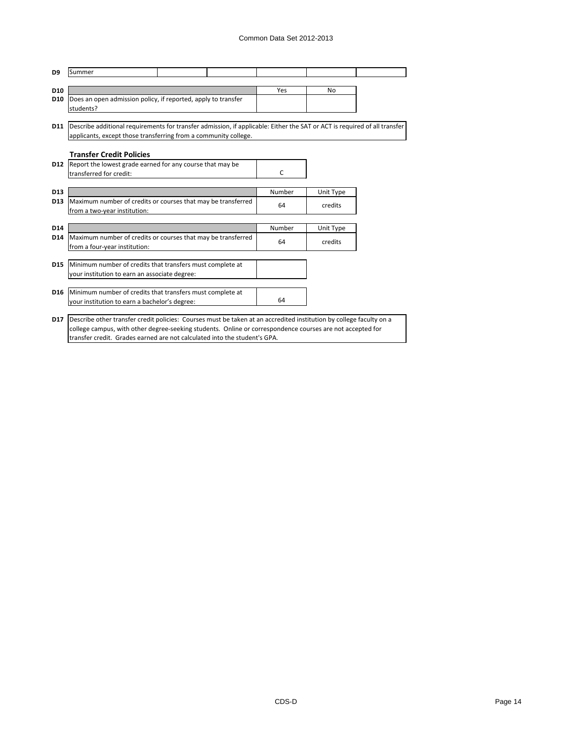| D <sub>9</sub>  | Summer                                                                                                                         |  |        |           |  |
|-----------------|--------------------------------------------------------------------------------------------------------------------------------|--|--------|-----------|--|
|                 |                                                                                                                                |  |        |           |  |
| D <sub>10</sub> |                                                                                                                                |  | Yes    | <b>No</b> |  |
| D <sub>10</sub> | Does an open admission policy, if reported, apply to transfer                                                                  |  |        |           |  |
|                 | students?                                                                                                                      |  |        |           |  |
|                 |                                                                                                                                |  |        |           |  |
|                 | D11  Describe additional requirements for transfer admission, if applicable: Either the SAT or ACT is required of all transfer |  |        |           |  |
|                 | applicants, except those transferring from a community college.                                                                |  |        |           |  |
|                 |                                                                                                                                |  |        |           |  |
|                 | <b>Transfer Credit Policies</b>                                                                                                |  |        |           |  |
|                 | D12 Report the lowest grade earned for any course that may be                                                                  |  |        |           |  |
|                 | transferred for credit:                                                                                                        |  | C      |           |  |
|                 |                                                                                                                                |  |        |           |  |
| D <sub>13</sub> |                                                                                                                                |  | Number | Unit Type |  |
| D <sub>13</sub> | Maximum number of credits or courses that may be transferred                                                                   |  | 64     | credits   |  |
|                 | from a two-year institution:                                                                                                   |  |        |           |  |
|                 |                                                                                                                                |  |        |           |  |
| D14             |                                                                                                                                |  | Number | Unit Type |  |
| D <sub>14</sub> | Maximum number of credits or courses that may be transferred                                                                   |  | 64     | credits   |  |
|                 | from a four-year institution:                                                                                                  |  |        |           |  |
|                 |                                                                                                                                |  |        |           |  |
| D <sub>15</sub> | Minimum number of credits that transfers must complete at                                                                      |  |        |           |  |
|                 | your institution to earn an associate degree:                                                                                  |  |        |           |  |
| <b>D16</b>      | Minimum number of credits that transfers must complete at                                                                      |  |        |           |  |
|                 | your institution to earn a bachelor's degree:                                                                                  |  | 64     |           |  |
|                 |                                                                                                                                |  |        |           |  |
| <b>D17</b>      | Describe other transfer credit policies: Courses must be taken at an accredited institution by college faculty on a            |  |        |           |  |
|                 | college campus, with other degree-seeking students. Online or correspondence courses are not accepted for                      |  |        |           |  |
|                 | transfer credit. Grades earned are not calculated into the student's GPA.                                                      |  |        |           |  |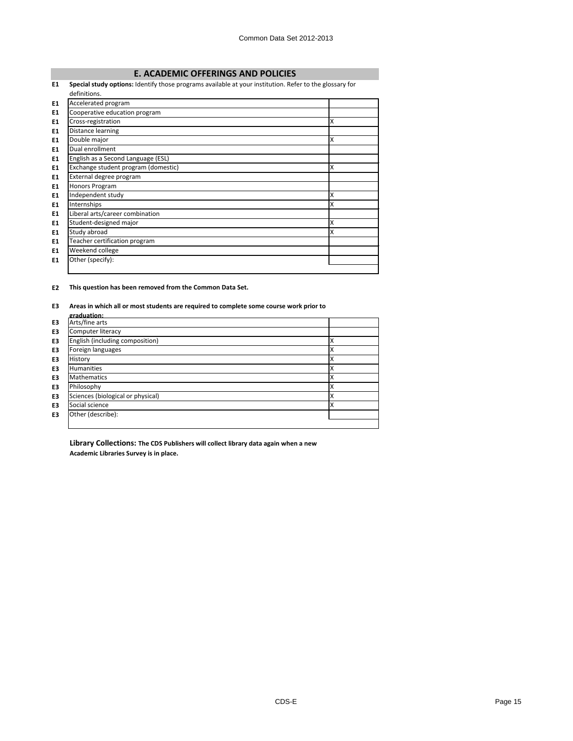# **E. ACADEMIC OFFERINGS AND POLICIES**

#### **E1 Special study options:** Identify those programs available at your institution. Refer to the glossary for

|                | definitions.                        |   |
|----------------|-------------------------------------|---|
| E1             | Accelerated program                 |   |
| E1             | Cooperative education program       |   |
| E1             | Cross-registration                  | Χ |
| E1             | Distance learning                   |   |
| E1             | Double major                        | X |
| E1             | Dual enrollment                     |   |
| E1             | English as a Second Language (ESL)  |   |
| E1             | Exchange student program (domestic) | Χ |
| E1             | External degree program             |   |
| E1             | Honors Program                      |   |
| E1             | Independent study                   | Χ |
| E1             | Internships                         | X |
| E <sub>1</sub> | Liberal arts/career combination     |   |
| E1             | Student-designed major              | Χ |
| E1             | Study abroad                        | X |
| E1             | Teacher certification program       |   |
| E1             | Weekend college                     |   |
| E1             | Other (specify):                    |   |
|                |                                     |   |

**E2 This question has been removed from the Common Data Set.**

## **E3 Areas in which all or most students are required to complete some course work prior to**

|                | graduation:                       |   |  |  |
|----------------|-----------------------------------|---|--|--|
| E <sub>3</sub> | Arts/fine arts                    |   |  |  |
| E <sub>3</sub> | Computer literacy                 |   |  |  |
| E <sub>3</sub> | English (including composition)   | ∧ |  |  |
| E3             | Foreign languages                 | Χ |  |  |
| E <sub>3</sub> | History                           | Χ |  |  |
| E <sub>3</sub> | <b>Humanities</b>                 | ⋏ |  |  |
| E <sub>3</sub> | <b>Mathematics</b>                | ⋏ |  |  |
| E <sub>3</sub> | Philosophy                        | ⋏ |  |  |
| E <sub>3</sub> | Sciences (biological or physical) | Χ |  |  |
| E <sub>3</sub> | Social science                    | Χ |  |  |
| E <sub>3</sub> | Other (describe):                 |   |  |  |
|                |                                   |   |  |  |

**Library Collections: The CDS Publishers will collect library data again when a new Academic Libraries Survey is in place.**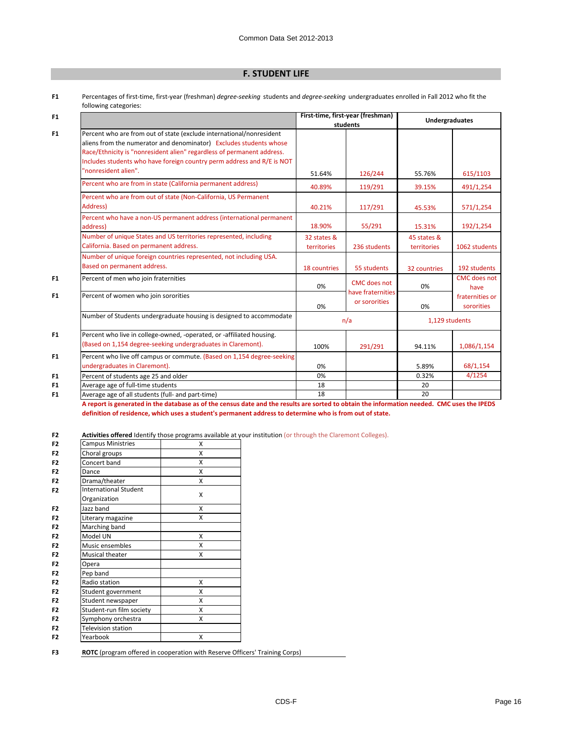# **F. STUDENT LIFE**

|                | following categories:                                                                                                                                                                                                                                                                                                  |                                               |                                    |                            |                               |
|----------------|------------------------------------------------------------------------------------------------------------------------------------------------------------------------------------------------------------------------------------------------------------------------------------------------------------------------|-----------------------------------------------|------------------------------------|----------------------------|-------------------------------|
| F1             |                                                                                                                                                                                                                                                                                                                        | First-time, first-year (freshman)<br>students |                                    | <b>Undergraduates</b>      |                               |
| F1             | Percent who are from out of state (exclude international/nonresident<br>aliens from the numerator and denominator) Excludes students whose<br>Race/Ethnicity is "nonresident alien" regardless of permanent address.<br>Includes students who have foreign country perm address and R/E is NOT<br>"nonresident alien". | 51.64%                                        | 126/244                            | 55.76%                     | 615/1103                      |
|                | Percent who are from in state (California permanent address)                                                                                                                                                                                                                                                           | 40.89%                                        | 119/291                            | 39.15%                     | 491/1,254                     |
|                | Percent who are from out of state (Non-California, US Permanent<br>Address)                                                                                                                                                                                                                                            | 40.21%                                        | 117/291                            | 45.53%                     | 571/1,254                     |
|                | Percent who have a non-US permanent address (international permanent<br>address)                                                                                                                                                                                                                                       | 18.90%                                        | 55/291                             | 15.31%                     | 192/1,254                     |
|                | Number of unique States and US territories represented, including<br>California. Based on permanent address.                                                                                                                                                                                                           | 32 states &<br>territories                    | 236 students                       | 45 states &<br>territories | 1062 students                 |
|                | Number of unique foreign countries represented, not including USA.<br>Based on permanent address.                                                                                                                                                                                                                      | 18 countries                                  | 55 students                        | 32 countries               | 192 students                  |
| F1             | Percent of men who join fraternities                                                                                                                                                                                                                                                                                   | 0%                                            | <b>CMC</b> does not                | 0%                         | <b>CMC</b> does not<br>have   |
| F1             | Percent of women who join sororities                                                                                                                                                                                                                                                                                   | 0%                                            | have fraternities<br>or sororities | 0%                         | fraternities or<br>sororities |
|                | Number of Students undergraduate housing is designed to accommodate                                                                                                                                                                                                                                                    |                                               | n/a                                | 1,129 students             |                               |
| F1             | Percent who live in college-owned, -operated, or -affiliated housing.<br>(Based on 1,154 degree-seeking undergraduates in Claremont).                                                                                                                                                                                  | 100%                                          | 291/291                            | 94.11%                     | 1,086/1,154                   |
| F1             | Percent who live off campus or commute. (Based on 1,154 degree-seeking<br>undergraduates in Claremont).                                                                                                                                                                                                                | 0%                                            |                                    | 5.89%                      | 68/1,154                      |
| F1             | Percent of students age 25 and older                                                                                                                                                                                                                                                                                   | 0%                                            |                                    | 0.32%                      | 4/1254                        |
| F <sub>1</sub> | Average age of full-time students                                                                                                                                                                                                                                                                                      | 18                                            |                                    | 20                         |                               |
| F <sub>1</sub> | Average age of all students (full- and part-time)                                                                                                                                                                                                                                                                      | 18                                            |                                    | 20                         |                               |

**F1** Percentages of first-time, first-year (freshman) *degree-seeking* students and *degree-seeking* undergraduates enrolled in Fall 2012 who fit the

**A report is generated in the database as of the census date and the results are sorted to obtain the information needed. CMC uses the IPEDS definition of residence, which uses a student's permanent address to determine who is from out of state.** 

**F2 Activities offered** Identify those programs available at your institution (or through the Claremont Colleges).

| F <sub>2</sub> | <b>Campus Ministries</b>     | Χ |
|----------------|------------------------------|---|
| F <sub>2</sub> | Choral groups                | χ |
| F <sub>2</sub> | Concert band                 | x |
| F <sub>2</sub> | Dance                        | x |
| F <sub>2</sub> | Drama/theater                | x |
| F <sub>2</sub> | <b>International Student</b> |   |
|                | Organization                 | Χ |
| F <sub>2</sub> | Jazz band                    | X |
| F <sub>2</sub> | Literary magazine            | x |
| F <sub>2</sub> | Marching band                |   |
| F <sub>2</sub> | Model UN                     | x |
| F <sub>2</sub> | Music ensembles              | x |
| F <sub>2</sub> | Musical theater              | x |
| F <sub>2</sub> | Opera                        |   |
| F <sub>2</sub> | Pep band                     |   |
| F <sub>2</sub> | Radio station                | Χ |
| F <sub>2</sub> | Student government           | x |
| F <sub>2</sub> | Student newspaper            | Χ |
| F2             | Student-run film society     | X |
| F <sub>2</sub> | Symphony orchestra           | x |
| F <sub>2</sub> | Television station           |   |
| F2             | Yearbook                     | Χ |
|                |                              |   |

**F3 ROTC** (program offered in cooperation with Reserve Officers' Training Corps)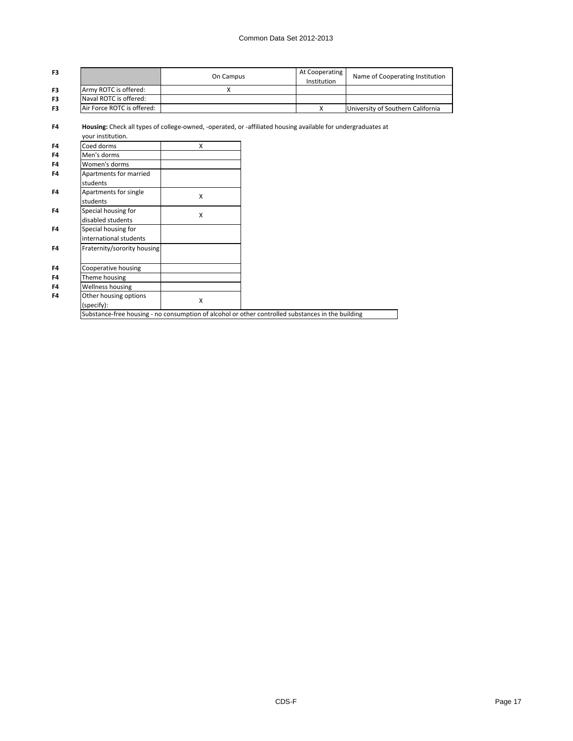# Common Data Set 2012-2013

| F <sub>3</sub> |                            | On Campus | At Cooperating<br><b>Institution</b> | Name of Cooperating Institution   |
|----------------|----------------------------|-----------|--------------------------------------|-----------------------------------|
| F <sub>3</sub> | Army ROTC is offered:      |           |                                      |                                   |
| F <sub>3</sub> | Naval ROTC is offered:     |           |                                      |                                   |
| F <sub>3</sub> | Air Force ROTC is offered: |           | Χ                                    | University of Southern California |

**F4 Housing:** Check all types of college-owned, -operated, or -affiliated housing available for undergraduates at your institution.

| F4 | Coed dorms                                                                                        | X |
|----|---------------------------------------------------------------------------------------------------|---|
| F4 | Men's dorms                                                                                       |   |
| F4 | Women's dorms                                                                                     |   |
| F4 | Apartments for married                                                                            |   |
|    | students                                                                                          |   |
| F4 | Apartments for single                                                                             | X |
|    | students                                                                                          |   |
| F4 | Special housing for                                                                               | X |
|    | disabled students                                                                                 |   |
| F4 | Special housing for                                                                               |   |
|    | international students                                                                            |   |
| F4 | Fraternity/sorority housing                                                                       |   |
|    |                                                                                                   |   |
| F4 | Cooperative housing                                                                               |   |
|    | Theme housing                                                                                     |   |
| F4 | Wellness housing                                                                                  |   |
| F4 | Other housing options                                                                             |   |
|    | (specify):                                                                                        | X |
|    | Substance-free housing - no consumption of alcohol or other controlled substances in the building |   |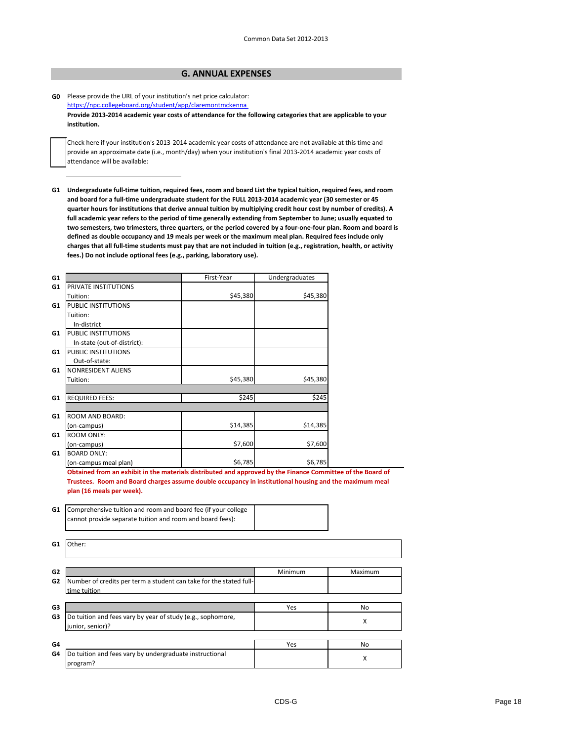# **G. ANNUAL EXPENSES**

**G0** Please provide the URL of your institution's net price calculator:

<https://npc.collegeboard.org/student/app/claremontmckenna> **Provide 2013-2014 academic year costs of attendance for the following categories that are applicable to your institution.**

Check here if your institution's 2013-2014 academic year costs of attendance are not available at this time and provide an approximate date (i.e., month/day) when your institution's final 2013-2014 academic year costs of attendance will be available:

**G1 Undergraduate full-time tuition, required fees, room and board List the typical tuition, required fees, and room and board for a full-time undergraduate student for the FULL 2013-2014 academic year (30 semester or 45 quarter hours for institutions that derive annual tuition by multiplying credit hour cost by number of credits). A full academic year refers to the period of time generally extending from September to June; usually equated to two semesters, two trimesters, three quarters, or the period covered by a four-one-four plan. Room and board is defined as double occupancy and 19 meals per week or the maximum meal plan. Required fees include only charges that all full-time students must pay that are not included in tuition (e.g., registration, health, or activity fees.) Do not include optional fees (e.g., parking, laboratory use).**

| G1             |                                                                                                             | First-Year | Undergraduates |         |
|----------------|-------------------------------------------------------------------------------------------------------------|------------|----------------|---------|
| G1             | PRIVATE INSTITUTIONS                                                                                        |            |                |         |
|                | Tuition:                                                                                                    | \$45,380   | \$45,380       |         |
| G1             | PUBLIC INSTITUTIONS                                                                                         |            |                |         |
|                | Tuition:                                                                                                    |            |                |         |
|                | In-district                                                                                                 |            |                |         |
| G1             | PUBLIC INSTITUTIONS                                                                                         |            |                |         |
|                | In-state (out-of-district):                                                                                 |            |                |         |
| G1             | <b>PUBLIC INSTITUTIONS</b>                                                                                  |            |                |         |
|                | Out-of-state:                                                                                               |            |                |         |
| G1             | <b>NONRESIDENT ALIENS</b>                                                                                   |            |                |         |
|                | Tuition:                                                                                                    | \$45,380   | \$45,380       |         |
|                |                                                                                                             |            |                |         |
| G <sub>1</sub> | <b>REQUIRED FEES:</b>                                                                                       | \$245      | \$245          |         |
|                |                                                                                                             |            |                |         |
| G1             | <b>ROOM AND BOARD:</b>                                                                                      |            |                |         |
|                | (on-campus)                                                                                                 | \$14,385   | \$14,385       |         |
| G1             | <b>ROOM ONLY:</b>                                                                                           |            |                |         |
|                | (on-campus)                                                                                                 | \$7,600    | \$7,600        |         |
| G1             | <b>BOARD ONLY:</b>                                                                                          |            |                |         |
|                | (on-campus meal plan)                                                                                       | \$6,785    | \$6,785        |         |
|                | Obtained from an exhibit in the materials distributed and approved by the Finance Committee of the Board of |            |                |         |
|                | Trustees. Room and Board charges assume double occupancy in institutional housing and the maximum meal      |            |                |         |
|                | plan (16 meals per week).                                                                                   |            |                |         |
|                |                                                                                                             |            |                |         |
| G1             | Comprehensive tuition and room and board fee (if your college                                               |            |                |         |
|                | cannot provide separate tuition and room and board fees):                                                   |            |                |         |
|                |                                                                                                             |            |                |         |
|                |                                                                                                             |            |                |         |
| G1             | Other:                                                                                                      |            |                |         |
|                |                                                                                                             |            |                |         |
|                |                                                                                                             |            |                |         |
| G <sub>2</sub> |                                                                                                             |            | Minimum        | Maximum |
| G <sub>2</sub> | Number of credits per term a student can take for the stated full-                                          |            |                |         |
|                | time tuition                                                                                                |            |                |         |
| G <sub>3</sub> |                                                                                                             |            | Yes            | No      |
| G <sub>3</sub> | Do tuition and fees vary by year of study (e.g., sophomore,                                                 |            |                |         |
|                | junior, senior)?                                                                                            |            |                | X       |
|                |                                                                                                             |            |                |         |
| G4             |                                                                                                             |            | Yes            | No      |
| G4             | Do tuition and fees vary by undergraduate instructional                                                     |            |                |         |
|                | program?                                                                                                    |            |                | X       |
|                |                                                                                                             |            |                |         |
|                |                                                                                                             |            |                |         |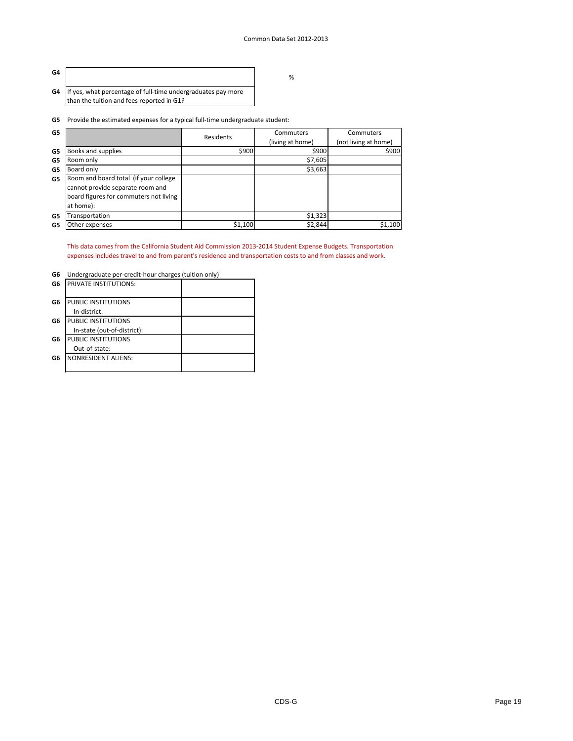| G4 |                                                                        |
|----|------------------------------------------------------------------------|
|    | <b>G4</b> If yes, what percentage of full-time undergraduates pay more |
|    | than the tuition and fees reported in G1?                              |

%

## **G5** Provide the estimated expenses for a typical full-time undergraduate student:

| G <sub>5</sub> |                                        | Residents | Commuters        | Commuters            |
|----------------|----------------------------------------|-----------|------------------|----------------------|
|                |                                        |           | (living at home) | (not living at home) |
| G5             | Books and supplies                     | \$900     | \$900            | \$900                |
| G5             | Room only                              |           | \$7,605          |                      |
| G5             | Board only                             |           | \$3,663          |                      |
| G5             | Room and board total (if your college  |           |                  |                      |
|                | cannot provide separate room and       |           |                  |                      |
|                | board figures for commuters not living |           |                  |                      |
|                | at home):                              |           |                  |                      |
| G5             | Transportation                         |           | \$1,323          |                      |
| G5             | Other expenses                         | \$1,100   | \$2,844          | \$1,100              |

This data comes from the California Student Aid Commission 2013-2014 Student Expense Budgets. Transportation expenses includes travel to and from parent's residence and transportation costs to and from classes and work.

## **G6** Undergraduate per-credit-hour charges (tuition only)

| G6 | <b>PRIVATE INSTITUTIONS:</b> |  |
|----|------------------------------|--|
| G6 | PUBLIC INSTITUTIONS          |  |
|    | In-district:                 |  |
| G6 | PUBLIC INSTITUTIONS          |  |
|    | In-state (out-of-district):  |  |
| G6 | PUBLIC INSTITUTIONS          |  |
|    | Out-of-state:                |  |
| G6 | <b>NONRESIDENT ALIENS:</b>   |  |
|    |                              |  |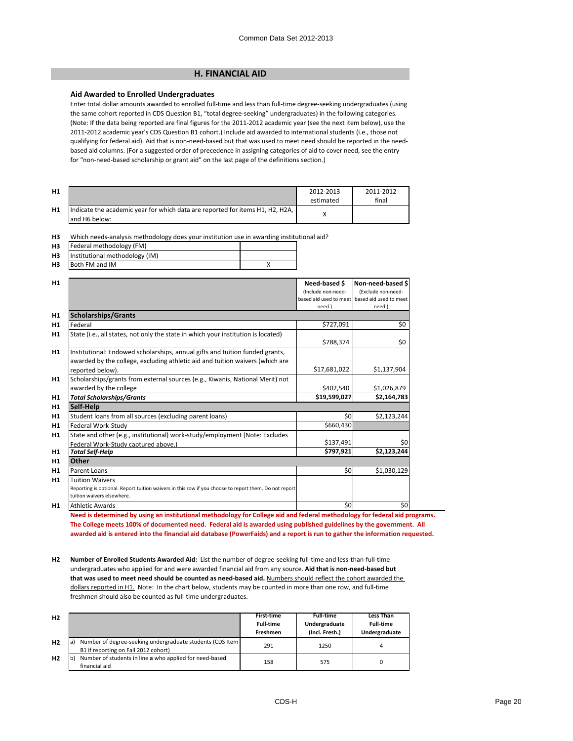# **H. FINANCIAL AID**

#### **Aid Awarded to Enrolled Undergraduates**

Enter total dollar amounts awarded to enrolled full-time and less than full-time degree-seeking undergraduates (using the same cohort reported in CDS Question B1, "total degree-seeking" undergraduates) in the following categories. (Note: If the data being reported are final figures for the 2011-2012 academic year (see the next item below), use the 2011-2012 academic year's CDS Question B1 cohort.) Include aid awarded to international students (i.e., those not qualifying for federal aid). Aid that is non-need-based but that was used to meet need should be reported in the needbased aid columns. (For a suggested order of precedence in assigning categories of aid to cover need, see the entry for "non-need-based scholarship or grant aid" on the last page of the definitions section.)

| H1 |                                                                                                   | 2012-2013<br>estimated | 2011-2012<br>final |
|----|---------------------------------------------------------------------------------------------------|------------------------|--------------------|
| H1 | Indicate the academic year for which data are reported for items H1, H2, H2A, I<br>land H6 below: |                        |                    |

**H3** Which needs-analysis methodology does your institution use in awarding institutional aid?

| H <sub>3</sub> | Federal methodology (FM)       |  |
|----------------|--------------------------------|--|
| H3             | Institutional methodology (IM) |  |
| H <sub>3</sub> | <b>Both FM and IM</b>          |  |

| H1 |                                                                                                                                     | Need-based \$      | Non-need-based \$                             |
|----|-------------------------------------------------------------------------------------------------------------------------------------|--------------------|-----------------------------------------------|
|    |                                                                                                                                     | (Include non-need- | (Exclude non-need-                            |
|    |                                                                                                                                     |                    | based aid used to meet based aid used to meet |
|    |                                                                                                                                     | need.)             | need.)                                        |
| H1 | <b>Scholarships/Grants</b>                                                                                                          |                    |                                               |
| H1 | Federal                                                                                                                             | \$727,091          | \$0                                           |
| H1 | State (i.e., all states, not only the state in which your institution is located)                                                   | \$788,374          | \$0                                           |
| H1 | Institutional: Endowed scholarships, annual gifts and tuition funded grants,                                                        |                    |                                               |
|    | awarded by the college, excluding athletic aid and tuition waivers (which are                                                       |                    |                                               |
|    | reported below).                                                                                                                    | \$17,681,022       | \$1,137,904                                   |
| H1 | Scholarships/grants from external sources (e.g., Kiwanis, National Merit) not                                                       |                    |                                               |
|    | awarded by the college                                                                                                              | \$402,540          | \$1,026,879                                   |
| H1 | <b>Total Scholarships/Grants</b>                                                                                                    | \$19,599,027       | \$2,164,783                                   |
| H1 | Self-Help                                                                                                                           |                    |                                               |
| H1 | Student loans from all sources (excluding parent loans)                                                                             | \$0                | \$2,123,244                                   |
| H1 | Federal Work-Study                                                                                                                  | \$660,430          |                                               |
| H1 | State and other (e.g., institutional) work-study/employment (Note: Excludes                                                         |                    |                                               |
|    | Federal Work-Study captured above.)                                                                                                 | \$137,491          | \$0                                           |
| H1 | <b>Total Self-Help</b>                                                                                                              | \$797,921          | \$2,123,244                                   |
| H1 | <b>Other</b>                                                                                                                        |                    |                                               |
| H1 | <b>Parent Loans</b>                                                                                                                 | \$0                | \$1,030,129                                   |
| H1 | <b>Tuition Waivers</b>                                                                                                              |                    |                                               |
|    | Reporting is optional. Report tuition waivers in this row if you choose to report them. Do not report<br>tuition waivers elsewhere. |                    |                                               |
| H1 | Athletic Awards                                                                                                                     | \$0                | \$0                                           |

**Need is determined by using an institutional methodology for College aid and federal methodology for federal aid programs. The College meets 100% of documented need. Federal aid is awarded using published guidelines by the government. All awarded aid is entered into the financial aid database (PowerFaids) and a report is run to gather the information requested.**

**H2 Number of Enrolled Students Awarded Aid:** List the number of degree-seeking full-time and less-than-full-time undergraduates who applied for and were awarded financial aid from any source. **Aid that is non-need-based but that was used to meet need should be counted as need-based aid.** Numbers should reflect the cohort awarded the dollars reported in H1. Note: In the chart below, students may be counted in more than one row, and full-time freshmen should also be counted as full-time undergraduates.

| H <sub>2</sub> |             |                                                           | <b>First-time</b>            | <b>Full-time</b>                | <b>Less Than</b>                  |
|----------------|-------------|-----------------------------------------------------------|------------------------------|---------------------------------|-----------------------------------|
|                |             |                                                           | <b>Full-time</b><br>Freshmen | Undergraduate<br>(Incl. Fresh.) | <b>Full-time</b><br>Undergraduate |
|                |             |                                                           |                              |                                 |                                   |
| H <sub>2</sub> | la)         | Number of degree-seeking undergraduate students (CDS Item | 291                          | 1250                            | 4                                 |
|                |             | B1 if reporting on Fall 2012 cohort)                      |                              |                                 |                                   |
| H <sub>2</sub> | $ b\rangle$ | Number of students in line a who applied for need-based   |                              |                                 |                                   |
|                |             | financial aid                                             | 158                          | 575                             |                                   |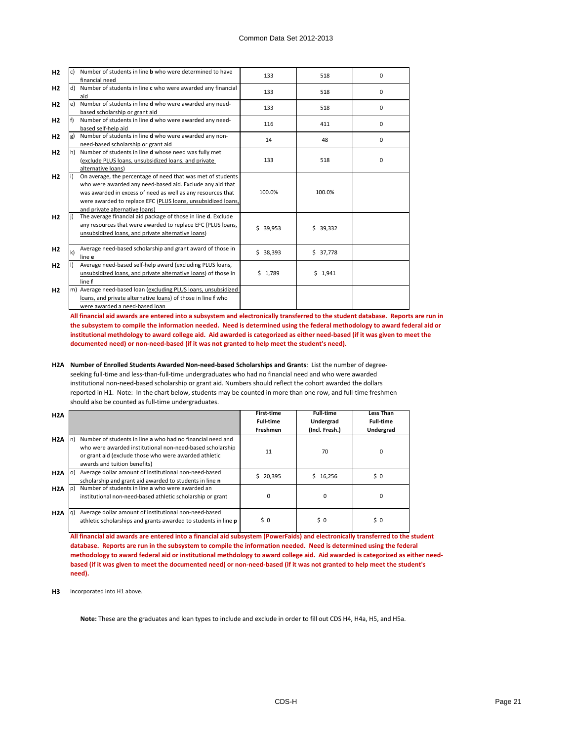| H <sub>2</sub> | c)           | Number of students in line <b>b</b> who were determined to have<br>financial need                                                                                                                                                                                                         | 133      | 518      | $\Omega$ |
|----------------|--------------|-------------------------------------------------------------------------------------------------------------------------------------------------------------------------------------------------------------------------------------------------------------------------------------------|----------|----------|----------|
| H <sub>2</sub> |              | d) Number of students in line c who were awarded any financial<br>aid                                                                                                                                                                                                                     | 133      | 518      | $\Omega$ |
| H <sub>2</sub> | e)           | Number of students in line d who were awarded any need-<br>based scholarship or grant aid                                                                                                                                                                                                 | 133      | 518      | 0        |
| H <sub>2</sub> | If)          | Number of students in line <b>d</b> who were awarded any need-<br>based self-help aid                                                                                                                                                                                                     | 116      | 411      | 0        |
| H <sub>2</sub> | g)           | Number of students in line d who were awarded any non-<br>need-based scholarship or grant aid                                                                                                                                                                                             | 14       | 48       | 0        |
| H <sub>2</sub> | lh)          | Number of students in line d whose need was fully met<br>(exclude PLUS loans, unsubsidized loans, and private<br>alternative loans)                                                                                                                                                       | 133      | 518      | 0        |
| H <sub>2</sub> |              | On average, the percentage of need that was met of students<br>who were awarded any need-based aid. Exclude any aid that<br>was awarded in excess of need as well as any resources that<br>were awarded to replace EFC (PLUS loans, unsubsidized loans,<br>and private alternative loans) | 100.0%   | 100.0%   |          |
| H <sub>2</sub> |              | The average financial aid package of those in line d. Exclude<br>any resources that were awarded to replace EFC (PLUS loans,<br>unsubsidized loans, and private alternative loans)                                                                                                        | \$39,953 | \$39,332 |          |
| H <sub>2</sub> | $\mathsf{k}$ | Average need-based scholarship and grant award of those in<br>line e                                                                                                                                                                                                                      | \$38,393 | \$37,778 |          |
| H <sub>2</sub> |              | Average need-based self-help award (excluding PLUS loans,<br>unsubsidized loans, and private alternative loans) of those in<br>line f                                                                                                                                                     | \$1,789  | \$1,941  |          |
| H <sub>2</sub> |              | m) Average need-based loan (excluding PLUS loans, unsubsidized<br>loans, and private alternative loans) of those in line f who<br>were awarded a need-based loan                                                                                                                          |          |          |          |

**All financial aid awards are entered into a subsystem and electronically transferred to the student database. Reports are run in the subsystem to compile the information needed. Need is determined using the federal methodology to award federal aid or institutional methdology to award college aid. Aid awarded is categorized as either need-based (if it was given to meet the documented need) or non-need-based (if it was not granted to help meet the student's need).**

## **H2A Number of Enrolled Students Awarded Non-need-based Scholarships and Grants**: List the number of degreeseeking full-time and less-than-full-time undergraduates who had no financial need and who were awarded institutional non-need-based scholarship or grant aid. Numbers should reflect the cohort awarded the dollars reported in H1. Note: In the chart below, students may be counted in more than one row, and full-time freshmen

should also be counted as full-time undergraduates.

| H2A |      |                                                                                                                                                                                                                  | <b>First-time</b><br><b>Full-time</b><br><b>Freshmen</b> | <b>Full-time</b><br>Undergrad<br>(Incl. Fresh.) | <b>Less Than</b><br><b>Full-time</b><br>Undergrad |
|-----|------|------------------------------------------------------------------------------------------------------------------------------------------------------------------------------------------------------------------|----------------------------------------------------------|-------------------------------------------------|---------------------------------------------------|
| H2A |      | Number of students in line a who had no financial need and<br>who were awarded institutional non-need-based scholarship<br>or grant aid (exclude those who were awarded athletic<br>awards and tuition benefits) | 11                                                       | 70                                              | $\Omega$                                          |
| H2A | lo)  | Average dollar amount of institutional non-need-based<br>scholarship and grant aid awarded to students in line n                                                                                                 | \$20,395                                                 | \$16,256                                        | $\zeta$ 0                                         |
| H2A | l D) | Number of students in line a who were awarded an<br>institutional non-need-based athletic scholarship or grant                                                                                                   | $\Omega$                                                 | $\Omega$                                        | 0                                                 |
| H2A | a.   | Average dollar amount of institutional non-need-based<br>athletic scholarships and grants awarded to students in line <b>p</b>                                                                                   | \$ 0                                                     | \$ 0                                            | \$ 0                                              |

**All financial aid awards are entered into a financial aid subsystem (PowerFaids) and electronically transferred to the student database. Reports are run in the subsystem to compile the information needed. Need is determined using the federal methodology to award federal aid or institutional methdology to award college aid. Aid awarded is categorized as either needbased (if it was given to meet the documented need) or non-need-based (if it was not granted to help meet the student's need).**

**H3** Incorporated into H1 above.

**Note:** These are the graduates and loan types to include and exclude in order to fill out CDS H4, H4a, H5, and H5a.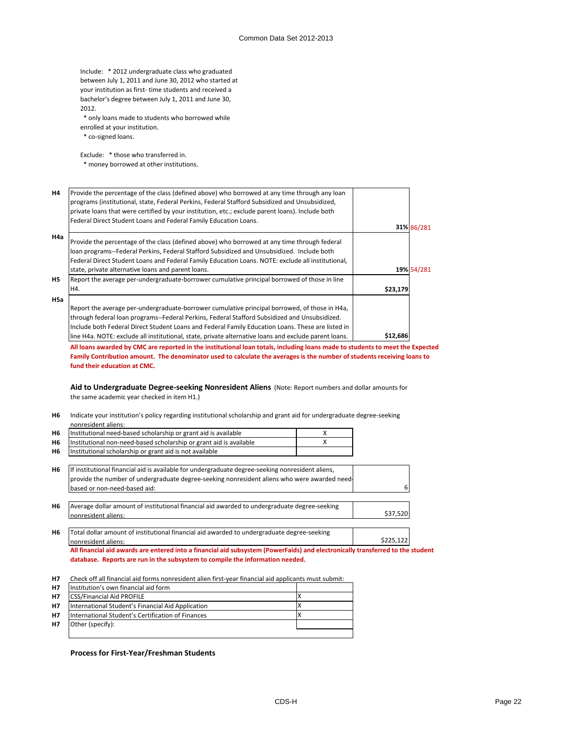|       | Include: * 2012 undergraduate class who graduated      |
|-------|--------------------------------------------------------|
|       | between July 1, 2011 and June 30, 2012 who started at  |
|       | your institution as first-time students and received a |
|       | bachelor's degree between July 1, 2011 and June 30,    |
| 2012. |                                                        |

 \* only loans made to students who borrowed while enrolled at your institution.

\* co-signed loans.

Exclude: \* those who transferred in.

\* money borrowed at other institutions.

| H <sub>4</sub> | Provide the percentage of the class (defined above) who borrowed at any time through any loan         |          |            |
|----------------|-------------------------------------------------------------------------------------------------------|----------|------------|
|                | programs (institutional, state, Federal Perkins, Federal Stafford Subsidized and Unsubsidized,        |          |            |
|                | private loans that were certified by your institution, etc.; exclude parent loans). Include both      |          |            |
|                | Federal Direct Student Loans and Federal Family Education Loans.                                      |          |            |
|                |                                                                                                       |          | 31% 86/281 |
| H4a            | Provide the percentage of the class (defined above) who borrowed at any time through federal          |          |            |
|                | loan programs--Federal Perkins, Federal Stafford Subsidized and Unsubsidized. Include both            |          |            |
|                | Federal Direct Student Loans and Federal Family Education Loans. NOTE: exclude all institutional,     |          |            |
|                | state, private alternative loans and parent loans.                                                    |          | 19% 54/281 |
| H <sub>5</sub> | Report the average per-undergraduate-borrower cumulative principal borrowed of those in line          |          |            |
|                | H4.                                                                                                   | \$23,179 |            |
| H5a            |                                                                                                       |          |            |
|                | Report the average per-undergraduate-borrower cumulative principal borrowed, of those in H4a,         |          |            |
|                | through federal loan programs--Federal Perkins, Federal Stafford Subsidized and Unsubsidized.         |          |            |
|                | Include both Federal Direct Student Loans and Federal Family Education Loans. These are listed in     |          |            |
|                | line H4a. NOTE: exclude all institutional, state, private alternative loans and exclude parent loans. | \$12,686 |            |

**All loans awarded by CMC are reported in the institutional loan totals, including loans made to students to meet the Expected Family Contribution amount. The denominator used to calculate the averages is the number of students receiving loans to fund their education at CMC.**

**Aid to Undergraduate Degree-seeking Nonresident Aliens** (Note: Report numbers and dollar amounts for the same academic year checked in item H1.)

#### **H6** Indicate your institution's policy regarding institutional scholarship and grant aid for undergraduate degree-seeking nonresident aliens:

| H6             | Institutional need-based scholarship or grant aid is available                                                                 | Χ |           |
|----------------|--------------------------------------------------------------------------------------------------------------------------------|---|-----------|
| H6             | Institutional non-need-based scholarship or grant aid is available                                                             | х |           |
| H6             | Institutional scholarship or grant aid is not available                                                                        |   |           |
|                |                                                                                                                                |   |           |
| H6             | If institutional financial aid is available for undergraduate degree-seeking nonresident aliens,                               |   |           |
|                | provide the number of undergraduate degree-seeking nonresident aliens who were awarded need                                    |   |           |
|                | based or non-need-based aid:                                                                                                   |   | 6         |
|                |                                                                                                                                |   |           |
| H6             | Average dollar amount of institutional financial aid awarded to undergraduate degree-seeking                                   |   |           |
|                | nonresident aliens:                                                                                                            |   | \$37,520  |
|                |                                                                                                                                |   |           |
| H <sub>6</sub> | Total dollar amount of institutional financial aid awarded to undergraduate degree-seeking                                     |   |           |
|                | nonresident aliens:                                                                                                            |   | \$225,122 |
|                | All financial aid awards are entered into a financial aid subsystem (PowerFaids) and electronically transferred to the student |   |           |
|                | database. Reports are run in the subsystem to compile the information needed.                                                  |   |           |
|                |                                                                                                                                |   |           |
| <b>H7</b>      | Check off all financial aid forms nonresident alien first-year financial aid applicants must submit:                           |   |           |
| <b>H7</b>      | Institution's own financial aid form                                                                                           |   |           |
| H7             | <b>CSS/Financial Aid PROFILE</b>                                                                                               | X |           |
| H <sub>7</sub> | International Student's Financial Aid Application                                                                              | Χ |           |
| H7             | International Student's Certification of Finances                                                                              | Χ |           |

**Process for First-Year/Freshman Students**

**H7**

Other (specify):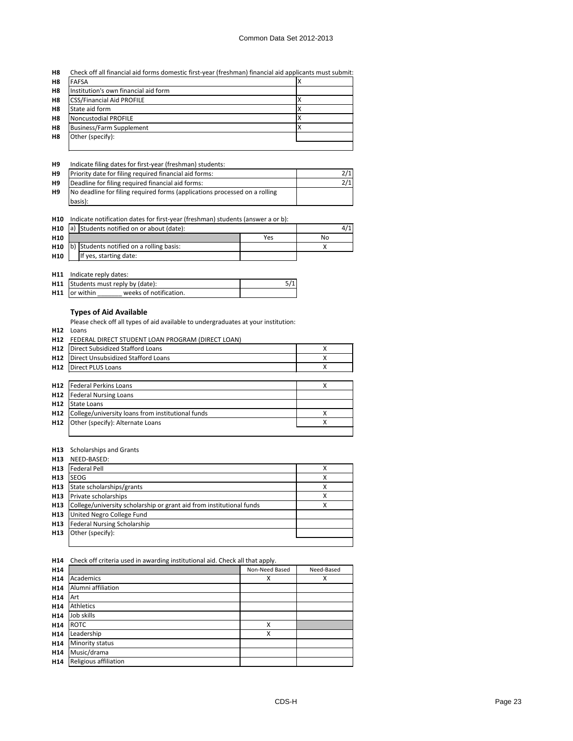| H <sub>8</sub> | <b>FAFSA</b>                         |  |
|----------------|--------------------------------------|--|
| H <sub>8</sub> | Institution's own financial aid form |  |
| H <sub>8</sub> | <b>CSS/Financial Aid PROFILE</b>     |  |
| H <sub>8</sub> | State aid form                       |  |
| H <sub>8</sub> | Noncustodial PROFILE                 |  |
| H <sub>8</sub> | <b>Business/Farm Supplement</b>      |  |
| H <sub>8</sub> | Other (specify):                     |  |
|                |                                      |  |

| H <sub>9</sub> | Indicate filing dates for first-year (freshman) students:                  |     |  |  |  |
|----------------|----------------------------------------------------------------------------|-----|--|--|--|
| H9             | Priority date for filing required financial aid forms:                     |     |  |  |  |
| H <sub>9</sub> | Deadline for filing required financial aid forms:                          | 2/1 |  |  |  |
| H <sub>9</sub> | No deadline for filing required forms (applications processed on a rolling |     |  |  |  |
|                | basis):                                                                    |     |  |  |  |

#### **H10** Indicate notification dates for first-year (freshman) students (answer a or b):

| H <sub>10</sub> | a) Students notified on or about (date): |                                          |     |    |  |
|-----------------|------------------------------------------|------------------------------------------|-----|----|--|
| H <sub>10</sub> |                                          |                                          | Yes | N٥ |  |
| H <sub>10</sub> |                                          | b) Students notified on a rolling basis: |     |    |  |
| H <sub>10</sub> |                                          | If yes, starting date:                   |     |    |  |

|  | H11 | Indicate reply dates: |  |  |
|--|-----|-----------------------|--|--|
|--|-----|-----------------------|--|--|

|                 | <b>H11</b> Students must reply by (date): | 5/1 |
|-----------------|-------------------------------------------|-----|
| $H11$ or within | weeks of notification.                    |     |
|                 |                                           |     |

# **Types of Aid Available**

Please check off all types of aid available to undergraduates at your institution:

**H12** Loans

| FEDERAL DIRECT STUDENT LOAN PROGRAM (DIRECT LOAN) |   |
|---------------------------------------------------|---|
| <b>Direct Subsidized Stafford Loans</b>           | х |
| Direct Unsubsidized Stafford Loans                | Χ |
| <b>Direct PLUS Loans</b>                          | х |
|                                                   |   |
| Federal Perkins Loans                             | х |
| <b>Federal Nursing Loans</b>                      |   |
| State Loans                                       |   |
| College/university loans from institutional funds | х |
| Other (specify): Alternate Loans                  | x |
|                                                   |   |
|                                                   |   |

#### **H13** Scholarships and Grants

| H <sub>13</sub> | NEED-BASED:                                                          |   |
|-----------------|----------------------------------------------------------------------|---|
| H <sub>13</sub> | <b>Federal Pell</b>                                                  |   |
| H <sub>13</sub> | <b>ISEOG</b>                                                         | х |
| H <sub>13</sub> | State scholarships/grants                                            | x |
| H <sub>13</sub> | Private scholarships                                                 | x |
| H <sub>13</sub> | College/university scholarship or grant aid from institutional funds | ν |
| H <sub>13</sub> | United Negro College Fund                                            |   |
| H <sub>13</sub> | <b>Federal Nursing Scholarship</b>                                   |   |
| H <sub>13</sub> | Other (specify):                                                     |   |
|                 |                                                                      |   |

#### **H14** Check off criteria used in awarding institutional aid. Check all that apply.

| H14             |                       | Non-Need Based | Need-Based |
|-----------------|-----------------------|----------------|------------|
| H <sub>14</sub> | Academics             | х              | х          |
| H <sub>14</sub> | Alumni affiliation    |                |            |
| H <sub>14</sub> | Art                   |                |            |
| H <sub>14</sub> | Athletics             |                |            |
| H <sub>14</sub> | Job skills            |                |            |
| H <sub>14</sub> | <b>ROTC</b>           | X              |            |
| H <sub>14</sub> | Leadership            | Χ              |            |
| H <sub>14</sub> | Minority status       |                |            |
| H <sub>14</sub> | Music/drama           |                |            |
| H <sub>14</sub> | Religious affiliation |                |            |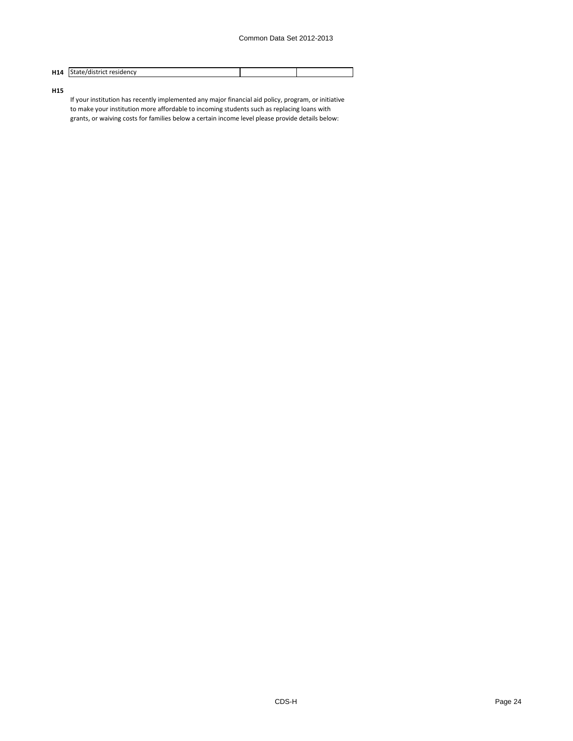| H14<br>. | e/district residency<br>i State/distr |  |
|----------|---------------------------------------|--|

**H15**

If your institution has recently implemented any major financial aid policy, program, or initiative to make your institution more affordable to incoming students such as replacing loans with grants, or waiving costs for families below a certain income level please provide details below: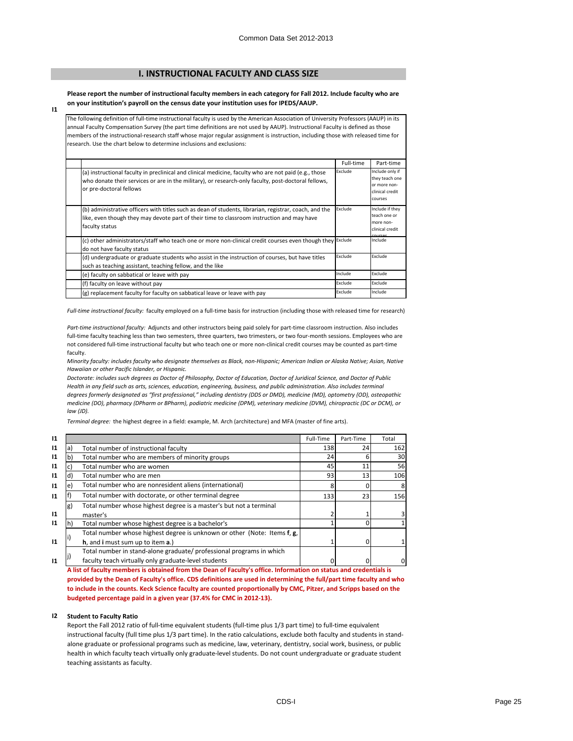# **I. INSTRUCTIONAL FACULTY AND CLASS SIZE**

**Please report the number of instructional faculty members in each category for Fall 2012. Include faculty who are on your institution's payroll on the census date your institution uses for IPEDS/AAUP.**

**I1**

The following definition of full-time instructional faculty is used by the American Association of University Professors (AAUP) in its annual Faculty Compensation Survey (the part time definitions are not used by AAUP). Instructional Faculty is defined as those members of the instructional-research staff whose major regular assignment is instruction, including those with released time for research. Use the chart below to determine inclusions and exclusions:

|                                                                                                                                                                                                                                         | Full-time | Part-time                                                                       |
|-----------------------------------------------------------------------------------------------------------------------------------------------------------------------------------------------------------------------------------------|-----------|---------------------------------------------------------------------------------|
| (a) instructional faculty in preclinical and clinical medicine, faculty who are not paid (e.g., those<br>who donate their services or are in the military), or research-only faculty, post-doctoral fellows,<br>or pre-doctoral fellows | Exclude   | Include only if<br>they teach one<br>or more non-<br>clinical credit<br>courses |
| (b) administrative officers with titles such as dean of students, librarian, registrar, coach, and the<br>like, even though they may devote part of their time to classroom instruction and may have<br>faculty status                  | Exclude   | Include if they<br>teach one or<br>more non-<br>clinical credit<br>COUTERS      |
| (c) other administrators/staff who teach one or more non-clinical credit courses even though they Exclude<br>do not have faculty status                                                                                                 |           | Include                                                                         |
| (d) undergraduate or graduate students who assist in the instruction of courses, but have titles<br>such as teaching assistant, teaching fellow, and the like                                                                           | Exclude   | Exclude                                                                         |
| (e) faculty on sabbatical or leave with pay                                                                                                                                                                                             | Include   | Exclude                                                                         |
| (f) faculty on leave without pay                                                                                                                                                                                                        | Exclude   | Exclude                                                                         |
| (g) replacement faculty for faculty on sabbatical leave or leave with pay                                                                                                                                                               | Exclude   | Include                                                                         |

*Full-time instructional faculty:* faculty employed on a full-time basis for instruction (including those with released time for research)

*Part-time instructional faculty:* Adjuncts and other instructors being paid solely for part-time classroom instruction. Also includes full-time faculty teaching less than two semesters, three quarters, two trimesters, or two four-month sessions. Employees who are not considered full-time instructional faculty but who teach one or more non-clinical credit courses may be counted as part-time faculty.

*Minority faculty: includes faculty who designate themselves as Black, non-Hispanic; American Indian or Alaska Native; Asian, Native Hawaiian or other Pacific Islander, or Hispanic.* 

*Doctorate: includes such degrees as Doctor of Philosophy, Doctor of Education, Doctor of Juridical Science, and Doctor of Public Health in any field such as arts, sciences, education, engineering, business, and public administration. Also includes terminal degrees formerly designated as "first professional," including dentistry (DDS or DMD), medicine (MD), optometry (OD), osteopathic medicine (DO), pharmacy (DPharm or BPharm), podiatric medicine (DPM), veterinary medicine (DVM), chiropractic (DC or DCM), or law (JD).*

*Terminal degree:* the highest degree in a field: example, M. Arch (architecture) and MFA (master of fine arts).

| 11            |     |                                                                          | Full-Time | Part-Time | Total |
|---------------|-----|--------------------------------------------------------------------------|-----------|-----------|-------|
| 11            | a   | Total number of instructional faculty                                    | 138       | 24        | 162   |
| 11            | D.  | Total number who are members of minority groups                          | 24        |           | 30    |
| 11            |     | Total number who are women                                               | 45        | 11        | 56    |
| $\mathbf{11}$ | αı  | Total number who are men                                                 | 93        | 13        | 106   |
| 11            | e.  | Total number who are nonresident aliens (international)                  |           |           | 8     |
| 11            |     | Total number with doctorate, or other terminal degree                    | 133       | 23        | 156   |
|               | lg) | Total number whose highest degree is a master's but not a terminal       |           |           |       |
| 11            |     | master's                                                                 |           |           |       |
| 11            |     | Total number whose highest degree is a bachelor's                        |           |           |       |
|               |     | Total number whose highest degree is unknown or other (Note: Items f, g, |           |           |       |
| $\mathbf{11}$ |     | h, and i must sum up to item a.)                                         |           |           |       |
|               |     | Total number in stand-alone graduate/ professional programs in which     |           |           |       |
| 11            |     | faculty teach virtually only graduate-level students                     |           |           |       |

**A list of faculty members is obtained from the Dean of Faculty's office. Information on status and credentials is provided by the Dean of Faculty's office. CDS definitions are used in determining the full/part time faculty and who to include in the counts. Keck Science faculty are counted proportionally by CMC, Pitzer, and Scripps based on the budgeted percentage paid in a given year (37.4% for CMC in 2012-13).**

#### **I2 Student to Faculty Ratio**

Report the Fall 2012 ratio of full-time equivalent students (full-time plus 1/3 part time) to full-time equivalent instructional faculty (full time plus 1/3 part time). In the ratio calculations, exclude both faculty and students in standalone graduate or professional programs such as medicine, law, veterinary, dentistry, social work, business, or public health in which faculty teach virtually only graduate-level students. Do not count undergraduate or graduate student teaching assistants as faculty.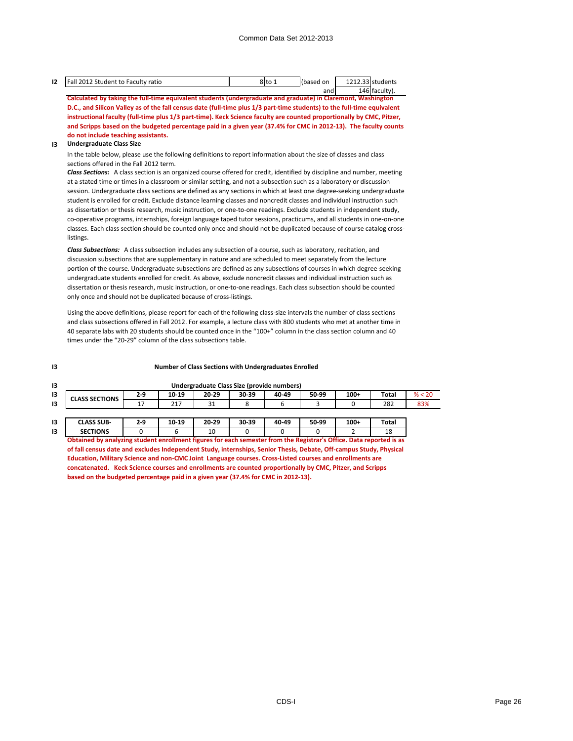| $\sim$<br>14<br>-- | -2012 Sti<br>Fall<br>Student to Faculty ratio | – 8lto ⊥ | (based on | 121221<br>tudents |
|--------------------|-----------------------------------------------|----------|-----------|-------------------|
|                    |                                               |          | and       | Δĥ<br>.cultv.     |

**Calculated by taking the full-time equivalent students (undergraduate and graduate) in Claremont, Washington D.C., and Silicon Valley as of the fall census date (full-time plus 1/3 part-time students) to the full-time equivalent instructional faculty (full-time plus 1/3 part-time). Keck Science faculty are counted proportionally by CMC, Pitzer, and Scripps based on the budgeted percentage paid in a given year (37.4% for CMC in 2012-13). The faculty counts do not include teaching assistants.** 

#### **I3 Undergraduate Class Size**

**I3**

In the table below, please use the following definitions to report information about the size of classes and class sections offered in the Fall 2012 term.

*Class Sections:* A class section is an organized course offered for credit, identified by discipline and number, meeting at a stated time or times in a classroom or similar setting, and not a subsection such as a laboratory or discussion session. Undergraduate class sections are defined as any sections in which at least one degree-seeking undergraduate student is enrolled for credit. Exclude distance learning classes and noncredit classes and individual instruction such as dissertation or thesis research, music instruction, or one-to-one readings. Exclude students in independent study, co-operative programs, internships, foreign language taped tutor sessions, practicums, and all students in one-on-one classes. Each class section should be counted only once and should not be duplicated because of course catalog crosslistings.

*Class Subsections:* A class subsection includes any subsection of a course, such as laboratory, recitation, and discussion subsections that are supplementary in nature and are scheduled to meet separately from the lecture portion of the course. Undergraduate subsections are defined as any subsections of courses in which degree-seeking undergraduate students enrolled for credit. As above, exclude noncredit classes and individual instruction such as dissertation or thesis research, music instruction, or one-to-one readings. Each class subsection should be counted only once and should not be duplicated because of cross-listings.

Using the above definitions, please report for each of the following class-size intervals the number of class sections and class subsections offered in Fall 2012. For example, a lecture class with 800 students who met at another time in 40 separate labs with 20 students should be counted once in the "100+" column in the class section column and 40 times under the "20-29" column of the class subsections table.

#### **Number of Class Sections with Undergraduates Enrolled**

| 13 |                       |       |       |           | Undergraduate Class Size (provide numbers) |       |       |        |              |        |
|----|-----------------------|-------|-------|-----------|--------------------------------------------|-------|-------|--------|--------------|--------|
| 13 | <b>CLASS SECTIONS</b> | $2-9$ | 10-19 | $20 - 29$ | $30 - 39$                                  | 40-49 | 50-99 | $100+$ | <b>Total</b> | % < 20 |
| 13 |                       |       | 217   | 31        |                                            |       |       |        | 282          | 83%    |
|    |                       |       |       |           |                                            |       |       |        |              |        |
| 13 | <b>CLASS SUB-</b>     | $2-9$ | 10-19 | $20 - 29$ | 30-39                                      | 40-49 | 50-99 | $100+$ | Total        |        |
| 13 | <b>SECTIONS</b>       |       |       | 10        |                                            |       |       |        | 18           |        |

**Obtained by analyzing student enrollment figures for each semester from the Registrar's Office. Data reported is as of fall census date and excludes Independent Study, internships, Senior Thesis, Debate, Off-campus Study, Physical Education, Military Science and non-CMC Joint Language courses. Cross-Listed courses and enrollments are concatenated. Keck Science courses and enrollments are counted proportionally by CMC, Pitzer, and Scripps based on the budgeted percentage paid in a given year (37.4% for CMC in 2012-13).**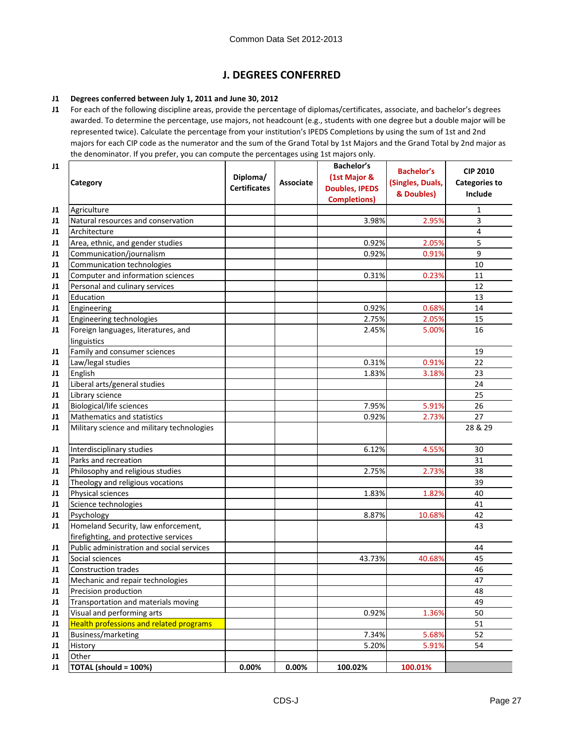# **J. DEGREES CONFERRED**

#### **J1 Degrees conferred between July 1, 2011 and June 30, 2012**

**J1** For each of the following discipline areas, provide the percentage of diplomas/certificates, associate, and bachelor's degrees awarded. To determine the percentage, use majors, not headcount (e.g., students with one degree but a double major will be represented twice). Calculate the percentage from your institution's IPEDS Completions by using the sum of 1st and 2nd majors for each CIP code as the numerator and the sum of the Grand Total by 1st Majors and the Grand Total by 2nd major as the denominator. If you prefer, you can compute the percentages using 1st majors only.

| J1 |                                            |                     |           | <b>Bachelor's</b>     |                   |                         |
|----|--------------------------------------------|---------------------|-----------|-----------------------|-------------------|-------------------------|
|    |                                            | Diploma/            |           | (1st Major &          | <b>Bachelor's</b> | <b>CIP 2010</b>         |
|    | <b>Category</b>                            | <b>Certificates</b> | Associate | <b>Doubles, IPEDS</b> | (Singles, Duals,  | <b>Categories to</b>    |
|    |                                            |                     |           | <b>Completions)</b>   | & Doubles)        | Include                 |
| J1 | Agriculture                                |                     |           |                       |                   | 1                       |
| J1 | Natural resources and conservation         |                     |           | 3.98%                 | 2.95%             | 3                       |
| J1 | Architecture                               |                     |           |                       |                   | $\overline{\mathbf{4}}$ |
| J1 | Area, ethnic, and gender studies           |                     |           | 0.92%                 | 2.05%             | 5                       |
| J1 | Communication/journalism                   |                     |           | 0.92%                 | 0.91%             | 9                       |
| J1 | Communication technologies                 |                     |           |                       |                   | 10                      |
| J1 | Computer and information sciences          |                     |           | 0.31%                 | 0.23%             | 11                      |
| J1 | Personal and culinary services             |                     |           |                       |                   | 12                      |
| J1 | Education                                  |                     |           |                       |                   | 13                      |
| J1 | Engineering                                |                     |           | 0.92%                 | 0.68%             | 14                      |
| J1 | Engineering technologies                   |                     |           | 2.75%                 | 2.05%             | 15                      |
| J1 | Foreign languages, literatures, and        |                     |           | 2.45%                 | 5.00%             | 16                      |
|    | linguistics                                |                     |           |                       |                   |                         |
| J1 | Family and consumer sciences               |                     |           |                       |                   | 19                      |
| J1 | Law/legal studies                          |                     |           | 0.31%                 | 0.91%             | 22                      |
| J1 | English                                    |                     |           | 1.83%                 | 3.18%             | 23                      |
| J1 | Liberal arts/general studies               |                     |           |                       |                   | 24                      |
| J1 | Library science                            |                     |           |                       |                   | 25                      |
| J1 | <b>Biological/life sciences</b>            |                     |           | 7.95%                 | 5.91%             | 26                      |
| J1 | <b>Mathematics and statistics</b>          |                     |           | 0.92%                 | 2.73%             | 27                      |
| J1 | Military science and military technologies |                     |           |                       |                   | 28 & 29                 |
| J1 | Interdisciplinary studies                  |                     |           | 6.12%                 | 4.55%             | 30                      |
| J1 | Parks and recreation                       |                     |           |                       |                   | 31                      |
| J1 | Philosophy and religious studies           |                     |           | 2.75%                 | 2.73%             | 38                      |
| J1 | Theology and religious vocations           |                     |           |                       |                   | 39                      |
| J1 | Physical sciences                          |                     |           | 1.83%                 | 1.82%             | 40                      |
| J1 | Science technologies                       |                     |           |                       |                   | 41                      |
| J1 | Psychology                                 |                     |           | 8.87%                 | 10.68%            | 42                      |
| J1 | Homeland Security, law enforcement,        |                     |           |                       |                   | 43                      |
|    | firefighting, and protective services      |                     |           |                       |                   |                         |
| J1 | Public administration and social services  |                     |           |                       |                   | 44                      |
| J1 | Social sciences                            |                     |           | 43.73%                | 40.68%            | 45                      |
| J1 | Construction trades                        |                     |           |                       |                   | 46                      |
| J1 | Mechanic and repair technologies           |                     |           |                       |                   | 47                      |
| J1 | Precision production                       |                     |           |                       |                   | 48                      |
| J1 | Transportation and materials moving        |                     |           |                       |                   | 49                      |
| J1 | Visual and performing arts                 |                     |           | 0.92%                 | 1.36%             | 50                      |
| J1 | Health professions and related programs    |                     |           |                       |                   | 51                      |
| J1 | Business/marketing                         |                     |           | 7.34%                 | 5.68%             | 52                      |
| J1 | History                                    |                     |           | 5.20%                 | 5.91%             | 54                      |
| J1 | Other                                      |                     |           |                       |                   |                         |
| J1 | TOTAL (should = 100%)                      | 0.00%               | 0.00%     | 100.02%               | 100.01%           |                         |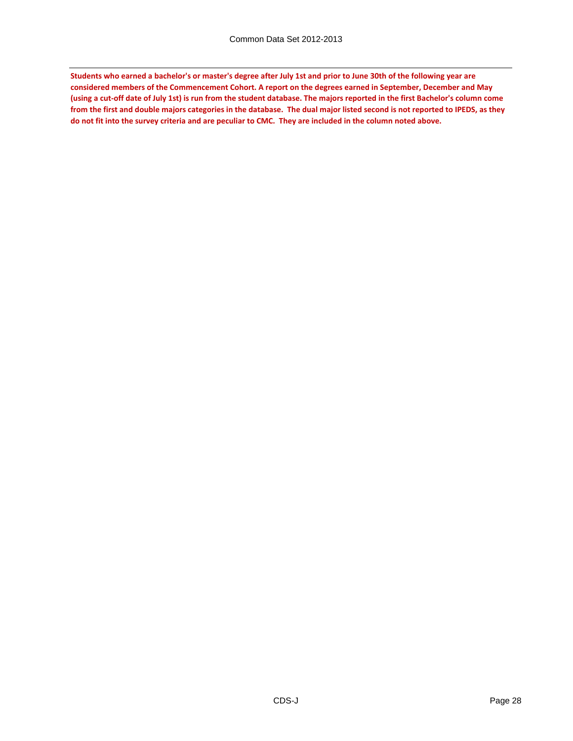**Students who earned a bachelor's or master's degree after July 1st and prior to June 30th of the following year are considered members of the Commencement Cohort. A report on the degrees earned in September, December and May (using a cut-off date of July 1st) is run from the student database. The majors reported in the first Bachelor's column come from the first and double majors categories in the database. The dual major listed second is not reported to IPEDS, as they do not fit into the survey criteria and are peculiar to CMC. They are included in the column noted above.**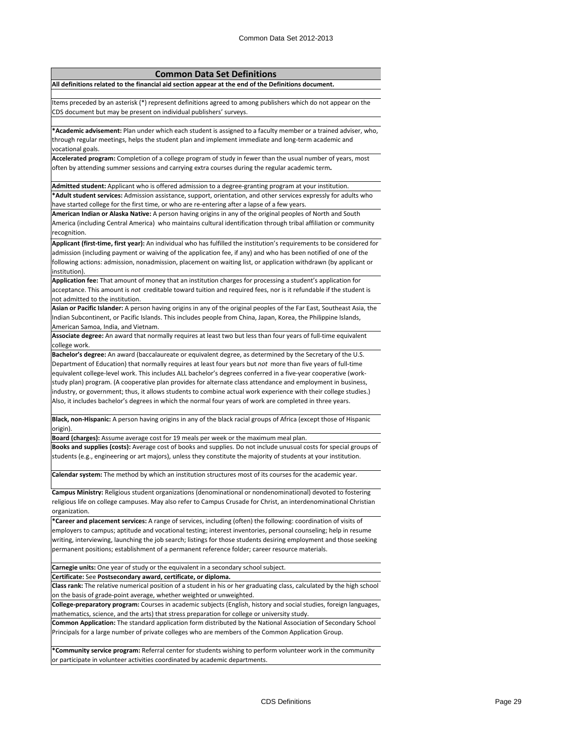# **Common Data Set Definitions**

**All definitions related to the financial aid section appear at the end of the Definitions document.**

Items preceded by an asterisk (\*) represent definitions agreed to among publishers which do not appear on the CDS document but may be present on individual publishers' surveys.

**\*Academic advisement:** Plan under which each student is assigned to a faculty member or a trained adviser, who, through regular meetings, helps the student plan and implement immediate and long-term academic and vocational goals.

**Accelerated program:** Completion of a college program of study in fewer than the usual number of years, most often by attending summer sessions and carrying extra courses during the regular academic term**.**

**Admitted student:** Applicant who is offered admission to a degree-granting program at your institution. **\*Adult student services:** Admission assistance, support, orientation, and other services expressly for adults who have started college for the first time, or who are re-entering after a lapse of a few years.

**American Indian or Alaska Native:** A person having origins in any of the original peoples of North and South America (including Central America) who maintains cultural identification through tribal affiliation or community recognition.

**Applicant (first-time, first year):** An individual who has fulfilled the institution's requirements to be considered for admission (including payment or waiving of the application fee, if any) and who has been notified of one of the following actions: admission, nonadmission, placement on waiting list, or application withdrawn (by applicant or institution).

**Application fee:** That amount of money that an institution charges for processing a student's application for acceptance. This amount is *not* creditable toward tuition and required fees, nor is it refundable if the student is not admitted to the institution.

**Asian or Pacific Islander:** A person having origins in any of the original peoples of the Far East, Southeast Asia, the Indian Subcontinent, or Pacific Islands. This includes people from China, Japan, Korea, the Philippine Islands, American Samoa, India, and Vietnam.

**Associate degree:** An award that normally requires at least two but less than four years of full-time equivalent college work.

**Bachelor's degree:** An award (baccalaureate or equivalent degree, as determined by the Secretary of the U.S. Department of Education) that normally requires at least four years but *not* more than five years of full-time equivalent college-level work. This includes ALL bachelor's degrees conferred in a five-year cooperative (workstudy plan) program. (A cooperative plan provides for alternate class attendance and employment in business, industry, or government; thus, it allows students to combine actual work experience with their college studies.) Also, it includes bachelor's degrees in which the normal four years of work are completed in three years.

**Black, non-Hispanic:** A person having origins in any of the black racial groups of Africa (except those of Hispanic origin).

**Board (charges):** Assume average cost for 19 meals per week or the maximum meal plan.

**Books and supplies (costs):** Average cost of books and supplies. Do not include unusual costs for special groups of students (e.g., engineering or art majors), unless they constitute the majority of students at your institution.

**Calendar system:** The method by which an institution structures most of its courses for the academic year.

**Campus Ministry:** Religious student organizations (denominational or nondenominational) devoted to fostering religious life on college campuses. May also refer to Campus Crusade for Christ, an interdenominational Christian organization.

**\*Career and placement services:** A range of services, including (often) the following: coordination of visits of employers to campus; aptitude and vocational testing; interest inventories, personal counseling; help in resume writing, interviewing, launching the job search; listings for those students desiring employment and those seeking permanent positions; establishment of a permanent reference folder; career resource materials.

**Carnegie units:** One year of study or the equivalent in a secondary school subject.

**Certificate:** See **Postsecondary award, certificate, or diploma.**

**Class rank:** The relative numerical position of a student in his or her graduating class, calculated by the high school on the basis of grade-point average, whether weighted or unweighted.

**College-preparatory program:** Courses in academic subjects (English, history and social studies, foreign languages, mathematics, science, and the arts) that stress preparation for college or university study.

**Common Application:** The standard application form distributed by the National Association of Secondary School Principals for a large number of private colleges who are members of the Common Application Group.

**\*Community service program:** Referral center for students wishing to perform volunteer work in the community or participate in volunteer activities coordinated by academic departments.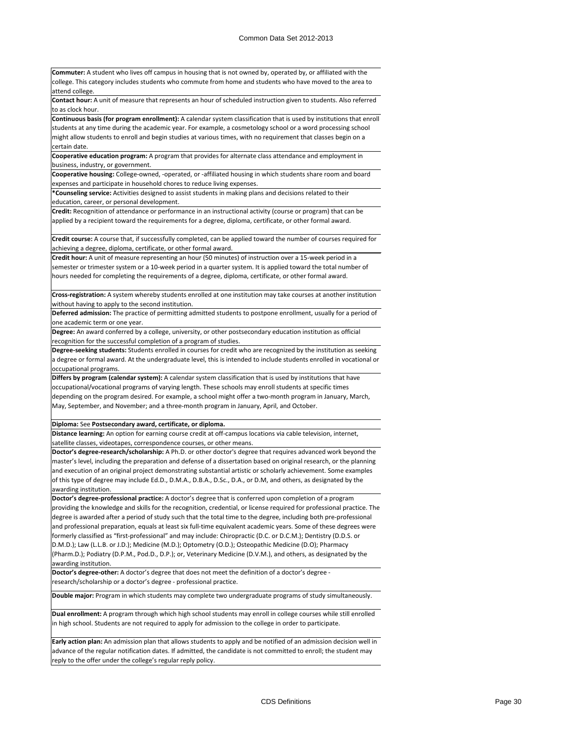**Commuter:** A student who lives off campus in housing that is not owned by, operated by, or affiliated with the college. This category includes students who commute from home and students who have moved to the area to attend college.

**Contact hour:** A unit of measure that represents an hour of scheduled instruction given to students. Also referred to as clock hour.

**Continuous basis (for program enrollment):** A calendar system classification that is used by institutions that enroll students at any time during the academic year. For example, a cosmetology school or a word processing school might allow students to enroll and begin studies at various times, with no requirement that classes begin on a certain date.

**Cooperative education program:** A program that provides for alternate class attendance and employment in business, industry, or government.

**Cooperative housing:** College-owned, -operated, or -affiliated housing in which students share room and board expenses and participate in household chores to reduce living expenses.

**\*Counseling service:** Activities designed to assist students in making plans and decisions related to their education, career, or personal development.

**Credit:** Recognition of attendance or performance in an instructional activity (course or program) that can be applied by a recipient toward the requirements for a degree, diploma, certificate, or other formal award.

**Credit course:** A course that, if successfully completed, can be applied toward the number of courses required for achieving a degree, diploma, certificate, or other formal award.

**Credit hour:** A unit of measure representing an hour (50 minutes) of instruction over a 15-week period in a semester or trimester system or a 10-week period in a quarter system. It is applied toward the total number of hours needed for completing the requirements of a degree, diploma, certificate, or other formal award.

**Cross-registration:** A system whereby students enrolled at one institution may take courses at another institution without having to apply to the second institution.

**Deferred admission:** The practice of permitting admitted students to postpone enrollment, usually for a period of one academic term or one year.

**Degree:** An award conferred by a college, university, or other postsecondary education institution as official recognition for the successful completion of a program of studies.

**Degree-seeking students:** Students enrolled in courses for credit who are recognized by the institution as seeking a degree or formal award. At the undergraduate level, this is intended to include students enrolled in vocational or occupational programs.

**Differs by program (calendar system):** A calendar system classification that is used by institutions that have occupational/vocational programs of varying length. These schools may enroll students at specific times depending on the program desired. For example, a school might offer a two-month program in January, March, May, September, and November; and a three-month program in January, April, and October.

**Diploma:** See **Postsecondary award, certificate, or diploma.**

**Distance learning:** An option for earning course credit at off-campus locations via cable television, internet, satellite classes, videotapes, correspondence courses, or other means.

**Doctor's degree-research/scholarship:** A Ph.D. or other doctor's degree that requires advanced work beyond the master's level, including the preparation and defense of a dissertation based on original research, or the planning and execution of an original project demonstrating substantial artistic or scholarly achievement. Some examples of this type of degree may include Ed.D., D.M.A., D.B.A., D.Sc., D.A., or D.M, and others, as designated by the awarding institution.

**Doctor's degree-professional practice:** A doctor's degree that is conferred upon completion of a program providing the knowledge and skills for the recognition, credential, or license required for professional practice. The degree is awarded after a period of study such that the total time to the degree, including both pre-professional and professional preparation, equals at least six full-time equivalent academic years. Some of these degrees were formerly classified as "first-professional" and may include: Chiropractic (D.C. or D.C.M.); Dentistry (D.D.S. or D.M.D.); Law (L.L.B. or J.D.); Medicine (M.D.); Optometry (O.D.); Osteopathic Medicine (D.O); Pharmacy (Pharm.D.); Podiatry (D.P.M., Pod.D., D.P.); or, Veterinary Medicine (D.V.M.), and others, as designated by the awarding institution.

**Doctor's degree-other:** A doctor's degree that does not meet the definition of a doctor's degree research/scholarship or a doctor's degree - professional practice.

**Double major:** Program in which students may complete two undergraduate programs of study simultaneously.

**Dual enrollment:** A program through which high school students may enroll in college courses while still enrolled in high school. Students are not required to apply for admission to the college in order to participate.

**Early action plan:** An admission plan that allows students to apply and be notified of an admission decision well in advance of the regular notification dates. If admitted, the candidate is not committed to enroll; the student may reply to the offer under the college's regular reply policy.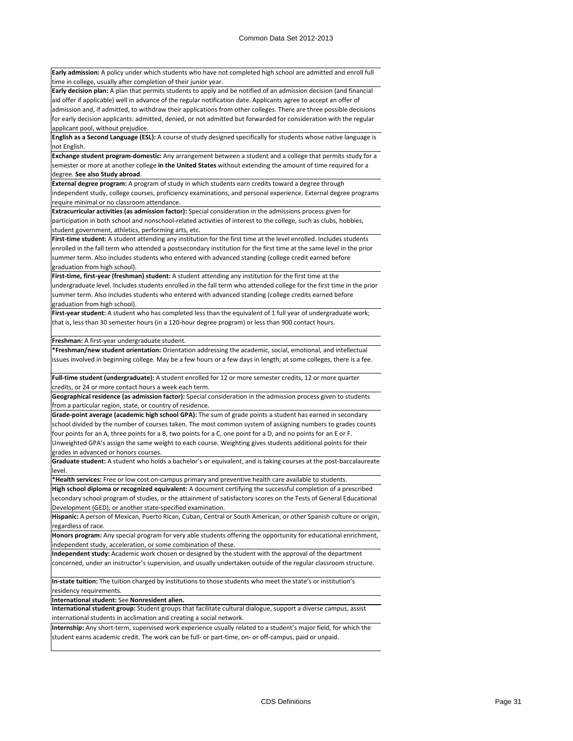**Early admission:** A policy under which students who have not completed high school are admitted and enroll full time in college, usually after completion of their junior year.

**Early decision plan:** A plan that permits students to apply and be notified of an admission decision (and financial aid offer if applicable) well in advance of the regular notification date. Applicants agree to accept an offer of admission and, if admitted, to withdraw their applications from other colleges. There are three possible decisions for early decision applicants: admitted, denied, or not admitted but forwarded for consideration with the regular applicant pool, without prejudice.

**English as a Second Language (ESL):** A course of study designed specifically for students whose native language is not English.

**Exchange student program-domestic:** Any arrangement between a student and a college that permits study for a semester or more at another college **in the United States** without extending the amount of time required for a degree. **See also Study abroad**.

**External degree program:** A program of study in which students earn credits toward a degree through independent study, college courses, proficiency examinations, and personal experience. External degree programs require minimal or no classroom attendance.

**Extracurricular activities (as admission factor):** Special consideration in the admissions process given for participation in both school and nonschool-related activities of interest to the college, such as clubs, hobbies, student government, athletics, performing arts, etc.

**First-time student:** A student attending any institution for the first time at the level enrolled. Includes students enrolled in the fall term who attended a postsecondary institution for the first time at the same level in the prior summer term. Also includes students who entered with advanced standing (college credit earned before graduation from high school).

**First-time, first-year (freshman) student:** A student attending any institution for the first time at the undergraduate level. Includes students enrolled in the fall term who attended college for the first time in the prior summer term. Also includes students who entered with advanced standing (college credits earned before graduation from high school).

**First-year student:** A student who has completed less than the equivalent of 1 full year of undergraduate work; that is, less than 30 semester hours (in a 120-hour degree program) or less than 900 contact hours.

**Freshman:** A first-year undergraduate student.

**\*Freshman/new student orientation:** Orientation addressing the academic, social, emotional, and intellectual issues involved in beginning college. May be a few hours or a few days in length; at some colleges, there is a fee.

**Full-time student (undergraduate):** A student enrolled for 12 or more semester credits, 12 or more quarter credits, or 24 or more contact hours a week each term.

**Geographical residence (as admission factor):** Special consideration in the admission process given to students from a particular region, state, or country of residence.

**Grade-point average (academic high school GPA):** The sum of grade points a student has earned in secondary school divided by the number of courses taken. The most common system of assigning numbers to grades counts four points for an A, three points for a B, two points for a C, one point for a D, and no points for an E or F. Unweighted GPA's assign the same weight to each course. Weighting gives students additional points for their grades in advanced or honors courses.

**Graduate student:** A student who holds a bachelor's or equivalent, and is taking courses at the post-baccalaureate level.

**\*Health services:** Free or low cost on-campus primary and preventive health care available to students.

**High school diploma or recognized equivalent:** A document certifying the successful completion of a prescribed secondary school program of studies, or the attainment of satisfactory scores on the Tests of General Educational Development (GED), or another state-specified examination.

**Hispanic:** A person of Mexican, Puerto Rican, Cuban, Central or South American, or other Spanish culture or origin, regardless of race.

**Honors program:** Any special program for very able students offering the opportunity for educational enrichment, independent study, acceleration, or some combination of these.

**Independent study:** Academic work chosen or designed by the student with the approval of the department concerned, under an instructor's supervision, and usually undertaken outside of the regular classroom structure.

**In-state tuition:** The tuition charged by institutions to those students who meet the state's or institution's residency requirements.

**International student:** See **Nonresident alien.**

**International student group:** Student groups that facilitate cultural dialogue, support a diverse campus, assist international students in acclimation and creating a social network.

**Internship:** Any short-term, supervised work experience usually related to a student's major field, for which the student earns academic credit. The work can be full- or part-time, on- or off-campus, paid or unpaid.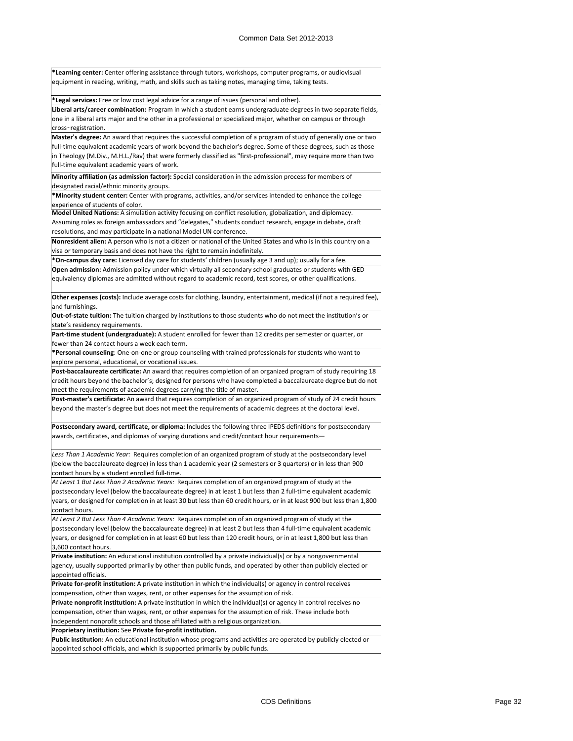**\*Learning center:** Center offering assistance through tutors, workshops, computer programs, or audiovisual equipment in reading, writing, math, and skills such as taking notes, managing time, taking tests.

**\*Legal services:** Free or low cost legal advice for a range of issues (personal and other).

**Liberal arts/career combination:** Program in which a student earns undergraduate degrees in two separate fields, one in a liberal arts major and the other in a professional or specialized major, whether on campus or through cross‑registration.

**Master's degree:** An award that requires the successful completion of a program of study of generally one or two full-time equivalent academic years of work beyond the bachelor's degree. Some of these degrees, such as those in Theology (M.Div., M.H.L./Rav) that were formerly classified as "first-professional", may require more than two full-time equivalent academic years of work.

**Minority affiliation (as admission factor):** Special consideration in the admission process for members of designated racial/ethnic minority groups.

**\*Minority student center:** Center with programs, activities, and/or services intended to enhance the college experience of students of color.

**Model United Nations:** A simulation activity focusing on conflict resolution, globalization, and diplomacy. Assuming roles as foreign ambassadors and "delegates," students conduct research, engage in debate, draft resolutions, and may participate in a national Model UN conference.

**Nonresident alien:** A person who is not a citizen or national of the United States and who is in this country on a visa or temporary basis and does not have the right to remain indefinitely.

**\*On-campus day care:** Licensed day care for students' children (usually age 3 and up); usually for a fee. **Open admission:** Admission policy under which virtually all secondary school graduates or students with GED equivalency diplomas are admitted without regard to academic record, test scores, or other qualifications.

**Other expenses (costs):** Include average costs for clothing, laundry, entertainment, medical (if not a required fee), and furnishings.

**Out-of-state tuition:** The tuition charged by institutions to those students who do not meet the institution's or state's residency requirements.

**Part-time student (undergraduate):** A student enrolled for fewer than 12 credits per semester or quarter, or fewer than 24 contact hours a week each term.

**\*Personal counseling**: One-on-one or group counseling with trained professionals for students who want to explore personal, educational, or vocational issues.

**Post-baccalaureate certificate:** An award that requires completion of an organized program of study requiring 18 credit hours beyond the bachelor's; designed for persons who have completed a baccalaureate degree but do not meet the requirements of academic degrees carrying the title of master.

**Post-master's certificate:** An award that requires completion of an organized program of study of 24 credit hours beyond the master's degree but does not meet the requirements of academic degrees at the doctoral level.

**Postsecondary award, certificate, or diploma:** Includes the following three IPEDS definitions for postsecondary awards, certificates, and diplomas of varying durations and credit/contact hour requirements—

*Less Than 1 Academic Year:* Requires completion of an organized program of study at the postsecondary level (below the baccalaureate degree) in less than 1 academic year (2 semesters or 3 quarters) or in less than 900 contact hours by a student enrolled full-time.

*At Least 1 But Less Than 2 Academic Years:* Requires completion of an organized program of study at the postsecondary level (below the baccalaureate degree) in at least 1 but less than 2 full-time equivalent academic years, or designed for completion in at least 30 but less than 60 credit hours, or in at least 900 but less than 1,800 contact hours.

*At Least 2 But Less Than 4 Academic Years:* Requires completion of an organized program of study at the postsecondary level (below the baccalaureate degree) in at least 2 but less than 4 full-time equivalent academic years, or designed for completion in at least 60 but less than 120 credit hours, or in at least 1,800 but less than 3,600 contact hours.

**Private institution:** An educational institution controlled by a private individual(s) or by a nongovernmental agency, usually supported primarily by other than public funds, and operated by other than publicly elected or appointed officials.

**Private for-profit institution:** A private institution in which the individual(s) or agency in control receives compensation, other than wages, rent, or other expenses for the assumption of risk.

**Private nonprofit institution:** A private institution in which the individual(s) or agency in control receives no compensation, other than wages, rent, or other expenses for the assumption of risk. These include both independent nonprofit schools and those affiliated with a religious organization.

**Proprietary institution:** See **Private for-profit institution.**

**Public institution:** An educational institution whose programs and activities are operated by publicly elected or appointed school officials, and which is supported primarily by public funds.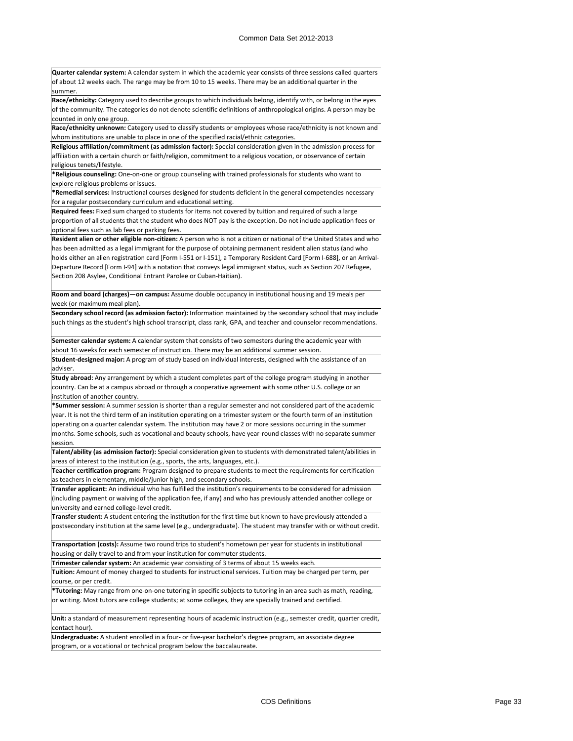**Quarter calendar system:** A calendar system in which the academic year consists of three sessions called quarters of about 12 weeks each. The range may be from 10 to 15 weeks. There may be an additional quarter in the summer.

**Race/ethnicity:** Category used to describe groups to which individuals belong, identify with, or belong in the eyes of the community. The categories do not denote scientific definitions of anthropological origins. A person may be counted in only one group.

**Race/ethnicity unknown:** Category used to classify students or employees whose race/ethnicity is not known and whom institutions are unable to place in one of the specified racial/ethnic categories.

**Religious affiliation/commitment (as admission factor):** Special consideration given in the admission process for affiliation with a certain church or faith/religion, commitment to a religious vocation, or observance of certain religious tenets/lifestyle.

**\*Religious counseling:** One-on-one or group counseling with trained professionals for students who want to explore religious problems or issues.

**\*Remedial services:** Instructional courses designed for students deficient in the general competencies necessary for a regular postsecondary curriculum and educational setting.

**Required fees:** Fixed sum charged to students for items not covered by tuition and required of such a large

proportion of all students that the student who does NOT pay is the exception. Do not include application fees or optional fees such as lab fees or parking fees.

**Resident alien or other eligible non-citizen:** A person who is not a citizen or national of the United States and who has been admitted as a legal immigrant for the purpose of obtaining permanent resident alien status (and who holds either an alien registration card [Form I-551 or I-151], a Temporary Resident Card [Form I-688], or an Arrival-Departure Record [Form I-94] with a notation that conveys legal immigrant status, such as Section 207 Refugee, Section 208 Asylee, Conditional Entrant Parolee or Cuban-Haitian).

**Room and board (charges)—on campus:** Assume double occupancy in institutional housing and 19 meals per week (or maximum meal plan).

**Secondary school record (as admission factor):** Information maintained by the secondary school that may include such things as the student's high school transcript, class rank, GPA, and teacher and counselor recommendations.

**Semester calendar system:** A calendar system that consists of two semesters during the academic year with about 16 weeks for each semester of instruction. There may be an additional summer session.

**Student-designed major:** A program of study based on individual interests, designed with the assistance of an adviser.

**Study abroad:** Any arrangement by which a student completes part of the college program studying in another country. Can be at a campus abroad or through a cooperative agreement with some other U.S. college or an institution of another country.

**\*Summer session:** A summer session is shorter than a regular semester and not considered part of the academic year. It is not the third term of an institution operating on a trimester system or the fourth term of an institution operating on a quarter calendar system. The institution may have 2 or more sessions occurring in the summer months. Some schools, such as vocational and beauty schools, have year-round classes with no separate summer session.

**Talent/ability (as admission factor):** Special consideration given to students with demonstrated talent/abilities in areas of interest to the institution (e.g., sports, the arts, languages, etc.).

**Teacher certification program:** Program designed to prepare students to meet the requirements for certification as teachers in elementary, middle/junior high, and secondary schools.

**Transfer applicant:** An individual who has fulfilled the institution's requirements to be considered for admission (including payment or waiving of the application fee, if any) and who has previously attended another college or university and earned college-level credit.

**Transfer student:** A student entering the institution for the first time but known to have previously attended a postsecondary institution at the same level (e.g., undergraduate). The student may transfer with or without credit.

**Transportation (costs):** Assume two round trips to student's hometown per year for students in institutional housing or daily travel to and from your institution for commuter students.

**Trimester calendar system:** An academic year consisting of 3 terms of about 15 weeks each.

**Tuition:** Amount of money charged to students for instructional services. Tuition may be charged per term, per course, or per credit.

**\*Tutoring:** May range from one-on-one tutoring in specific subjects to tutoring in an area such as math, reading, or writing. Most tutors are college students; at some colleges, they are specially trained and certified.

**Unit:** a standard of measurement representing hours of academic instruction (e.g., semester credit, quarter credit, contact hour).

**Undergraduate:** A student enrolled in a four- or five-year bachelor's degree program, an associate degree program, or a vocational or technical program below the baccalaureate.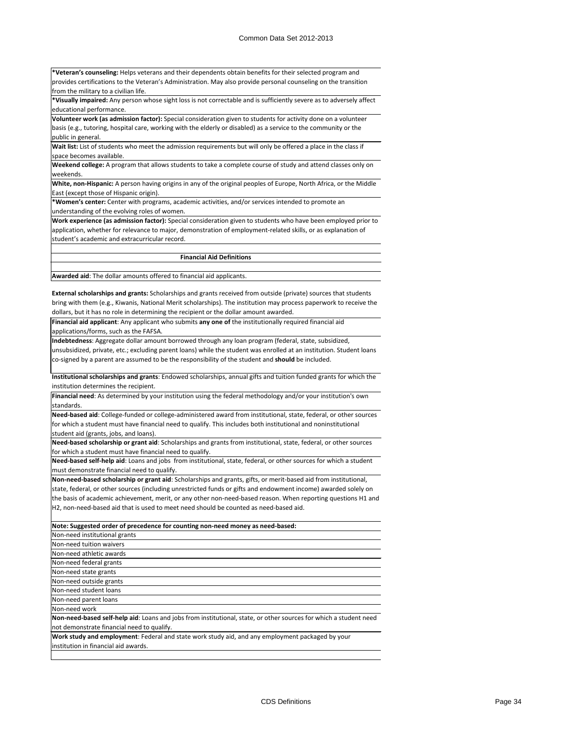**\*Veteran's counseling:** Helps veterans and their dependents obtain benefits for their selected program and provides certifications to the Veteran's Administration. May also provide personal counseling on the transition from the military to a civilian life.

**\*Visually impaired:** Any person whose sight loss is not correctable and is sufficiently severe as to adversely affect educational performance.

**Volunteer work (as admission factor):** Special consideration given to students for activity done on a volunteer basis (e.g., tutoring, hospital care, working with the elderly or disabled) as a service to the community or the public in general.

**Wait list:** List of students who meet the admission requirements but will only be offered a place in the class if space becomes available.

**Weekend college:** A program that allows students to take a complete course of study and attend classes only on weekends.

**White, non-Hispanic:** A person having origins in any of the original peoples of Europe, North Africa, or the Middle East (except those of Hispanic origin).

**\*Women's center:** Center with programs, academic activities, and/or services intended to promote an understanding of the evolving roles of women.

**Work experience (as admission factor):** Special consideration given to students who have been employed prior to application, whether for relevance to major, demonstration of employment-related skills, or as explanation of student's academic and extracurricular record.

#### **Financial Aid Definitions**

**Awarded aid**: The dollar amounts offered to financial aid applicants.

**External scholarships and grants:** Scholarships and grants received from outside (private) sources that students bring with them (e.g., Kiwanis, National Merit scholarships). The institution may process paperwork to receive the dollars, but it has no role in determining the recipient or the dollar amount awarded.

**Financial aid applicant**: Any applicant who submits **any one of** the institutionally required financial aid applications/forms, such as the FAFSA.

**Indebtedness**: Aggregate dollar amount borrowed through any loan program (federal, state, subsidized,

unsubsidized, private, etc.; excluding parent loans) while the student was enrolled at an institution. Student loans co-signed by a parent are assumed to be the responsibility of the student and **should** be included.

**Institutional scholarships and grants**: Endowed scholarships, annual gifts and tuition funded grants for which the institution determines the recipient.

**Financial need**: As determined by your institution using the federal methodology and/or your institution's own standards.

**Need-based aid**: College-funded or college-administered award from institutional, state, federal, or other sources for which a student must have financial need to qualify. This includes both institutional and noninstitutional student aid (grants, jobs, and loans).

**Need-based scholarship or grant aid**: Scholarships and grants from institutional, state, federal, or other sources for which a student must have financial need to qualify.

**Need-based self-help aid**: Loans and jobs from institutional, state, federal, or other sources for which a student must demonstrate financial need to qualify.

**Non-need-based scholarship or grant aid**: Scholarships and grants, gifts, or merit-based aid from institutional,

state, federal, or other sources (including unrestricted funds or gifts and endowment income) awarded solely on the basis of academic achievement, merit, or any other non-need-based reason. When reporting questions H1 and H2, non-need-based aid that is used to meet need should be counted as need-based aid.

| Note: Suggested order of precedence for counting non-need money as need-based:                                    |
|-------------------------------------------------------------------------------------------------------------------|
| Non-need institutional grants                                                                                     |
| Non-need tuition waivers                                                                                          |
| Non-need athletic awards                                                                                          |
| Non-need federal grants                                                                                           |
| Non-need state grants                                                                                             |
| Non-need outside grants                                                                                           |
| Non-need student loans                                                                                            |
| Non-need parent loans                                                                                             |
| Non-need work                                                                                                     |
| Non-need-based self-help aid: Loans and jobs from institutional, state, or other sources for which a student need |
| not demonstrate financial need to qualify.                                                                        |
| Work study and employment: Federal and state work study aid, and any employment packaged by your                  |
| linstitution in financial aid awards.                                                                             |
|                                                                                                                   |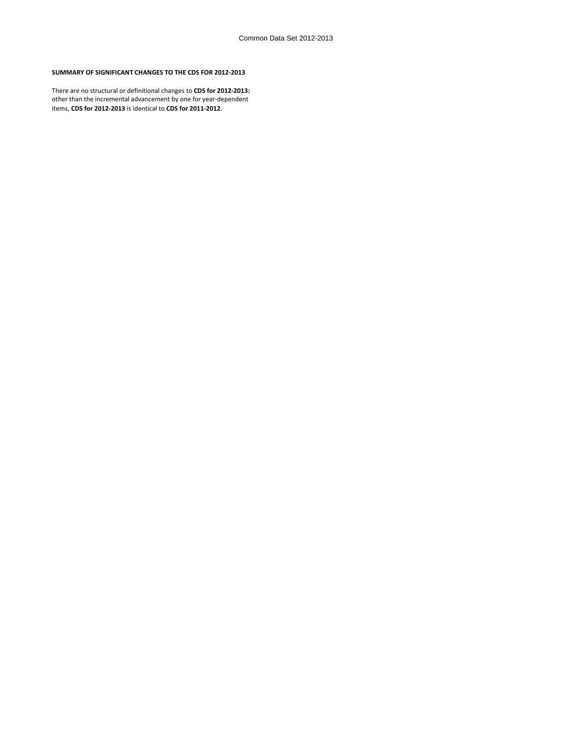#### **SUMMARY OF SIGNIFICANT CHANGES TO THE CDS FOR 2012-2013**

other than the incremental advancement by one for year-dependent items, **CDS for 2012-2013** is identical to **CDS for 2011-2012**. There are no structural or definitional changes to **CDS for 2012-2013:**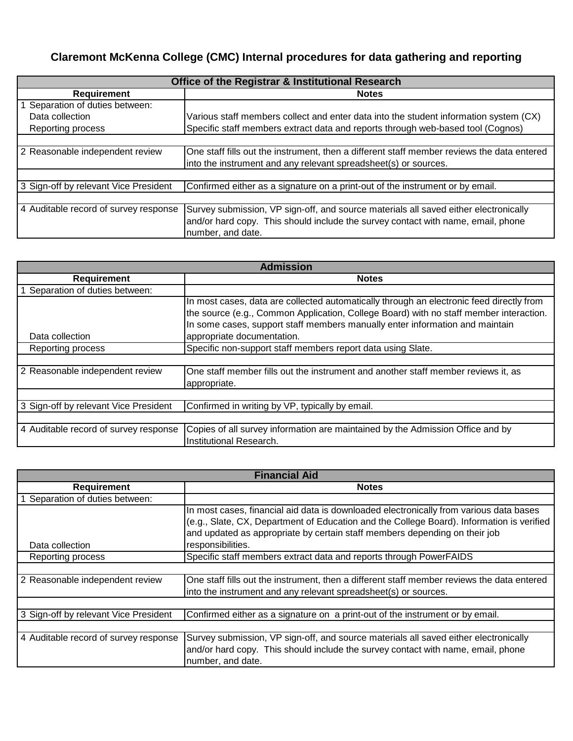# **Claremont McKenna College (CMC) Internal procedures for data gathering and reporting**

| <b>Office of the Registrar &amp; Institutional Research</b> |                                                                                            |  |  |  |
|-------------------------------------------------------------|--------------------------------------------------------------------------------------------|--|--|--|
| <b>Requirement</b>                                          | <b>Notes</b>                                                                               |  |  |  |
| Separation of duties between:                               |                                                                                            |  |  |  |
| Data collection                                             | Various staff members collect and enter data into the student information system (CX)      |  |  |  |
| Reporting process                                           | Specific staff members extract data and reports through web-based tool (Cognos)            |  |  |  |
|                                                             |                                                                                            |  |  |  |
| 2 Reasonable independent review                             | One staff fills out the instrument, then a different staff member reviews the data entered |  |  |  |
|                                                             | into the instrument and any relevant spreadsheet(s) or sources.                            |  |  |  |
|                                                             |                                                                                            |  |  |  |
| 3 Sign-off by relevant Vice President                       | Confirmed either as a signature on a print-out of the instrument or by email.              |  |  |  |
|                                                             |                                                                                            |  |  |  |
| 4 Auditable record of survey response                       | Survey submission, VP sign-off, and source materials all saved either electronically       |  |  |  |
|                                                             | and/or hard copy. This should include the survey contact with name, email, phone           |  |  |  |
|                                                             | number, and date.                                                                          |  |  |  |

| <b>Admission</b>                                                                                          |  |  |  |  |
|-----------------------------------------------------------------------------------------------------------|--|--|--|--|
| <b>Notes</b>                                                                                              |  |  |  |  |
|                                                                                                           |  |  |  |  |
| In most cases, data are collected automatically through an electronic feed directly from                  |  |  |  |  |
| the source (e.g., Common Application, College Board) with no staff member interaction.                    |  |  |  |  |
| In some cases, support staff members manually enter information and maintain                              |  |  |  |  |
| appropriate documentation.                                                                                |  |  |  |  |
| Specific non-support staff members report data using Slate.                                               |  |  |  |  |
|                                                                                                           |  |  |  |  |
| One staff member fills out the instrument and another staff member reviews it, as                         |  |  |  |  |
| appropriate.                                                                                              |  |  |  |  |
|                                                                                                           |  |  |  |  |
| Confirmed in writing by VP, typically by email.                                                           |  |  |  |  |
|                                                                                                           |  |  |  |  |
| Copies of all survey information are maintained by the Admission Office and by<br>Institutional Research. |  |  |  |  |
|                                                                                                           |  |  |  |  |

| <b>Financial Aid</b>                  |                                                                                                                                                                                                                                                                                        |
|---------------------------------------|----------------------------------------------------------------------------------------------------------------------------------------------------------------------------------------------------------------------------------------------------------------------------------------|
| <b>Requirement</b>                    | <b>Notes</b>                                                                                                                                                                                                                                                                           |
| Separation of duties between:         |                                                                                                                                                                                                                                                                                        |
| Data collection                       | In most cases, financial aid data is downloaded electronically from various data bases<br>(e.g., Slate, CX, Department of Education and the College Board). Information is verified<br>and updated as appropriate by certain staff members depending on their job<br>responsibilities. |
| Reporting process                     | Specific staff members extract data and reports through PowerFAIDS                                                                                                                                                                                                                     |
|                                       |                                                                                                                                                                                                                                                                                        |
| 2 Reasonable independent review       | One staff fills out the instrument, then a different staff member reviews the data entered<br>into the instrument and any relevant spreadsheet(s) or sources.                                                                                                                          |
|                                       |                                                                                                                                                                                                                                                                                        |
| 3 Sign-off by relevant Vice President | Confirmed either as a signature on a print-out of the instrument or by email.                                                                                                                                                                                                          |
|                                       |                                                                                                                                                                                                                                                                                        |
| 4 Auditable record of survey response | Survey submission, VP sign-off, and source materials all saved either electronically<br>and/or hard copy. This should include the survey contact with name, email, phone<br>number, and date.                                                                                          |